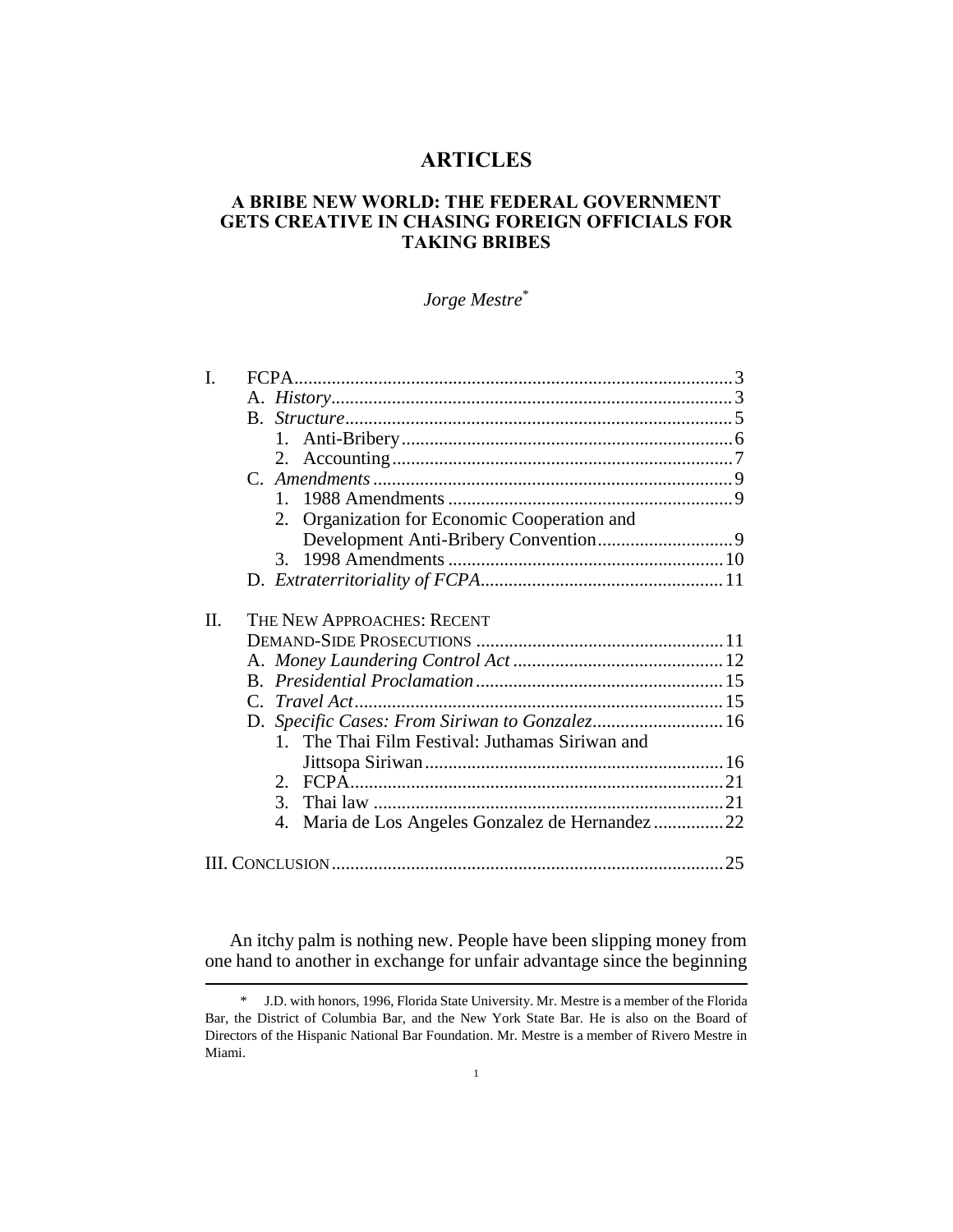# **ARTICLES**

# **A BRIBE NEW WORLD: THE FEDERAL GOVERNMENT GETS CREATIVE IN CHASING FOREIGN OFFICIALS FOR TAKING BRIBES**

# *Jorge Mestre*\*

| L  |                                                     |    |
|----|-----------------------------------------------------|----|
|    |                                                     |    |
|    |                                                     |    |
|    |                                                     |    |
|    |                                                     |    |
|    |                                                     |    |
|    |                                                     |    |
|    | Organization for Economic Cooperation and<br>2.     |    |
|    |                                                     |    |
|    | 3 <sub>1</sub>                                      |    |
|    |                                                     |    |
|    |                                                     |    |
| Н. | THE NEW APPROACHES: RECENT                          |    |
|    |                                                     |    |
|    |                                                     |    |
|    |                                                     |    |
|    |                                                     |    |
|    | D. Specific Cases: From Siriwan to Gonzalez 16      |    |
|    | 1. The Thai Film Festival: Juthamas Siriwan and     |    |
|    |                                                     |    |
|    |                                                     |    |
|    | 3.                                                  |    |
|    | Maria de Los Angeles Gonzalez de Hernandez 22<br>4. |    |
|    |                                                     | 25 |
|    |                                                     |    |

An itchy palm is nothing new. People have been slipping money from one hand to another in exchange for unfair advantage since the beginning

<sup>\*</sup> J.D. with honors, 1996, Florida State University. Mr. Mestre is a member of the Florida Bar, the District of Columbia Bar, and the New York State Bar. He is also on the Board of Directors of the Hispanic National Bar Foundation. Mr. Mestre is a member of Rivero Mestre in Miami.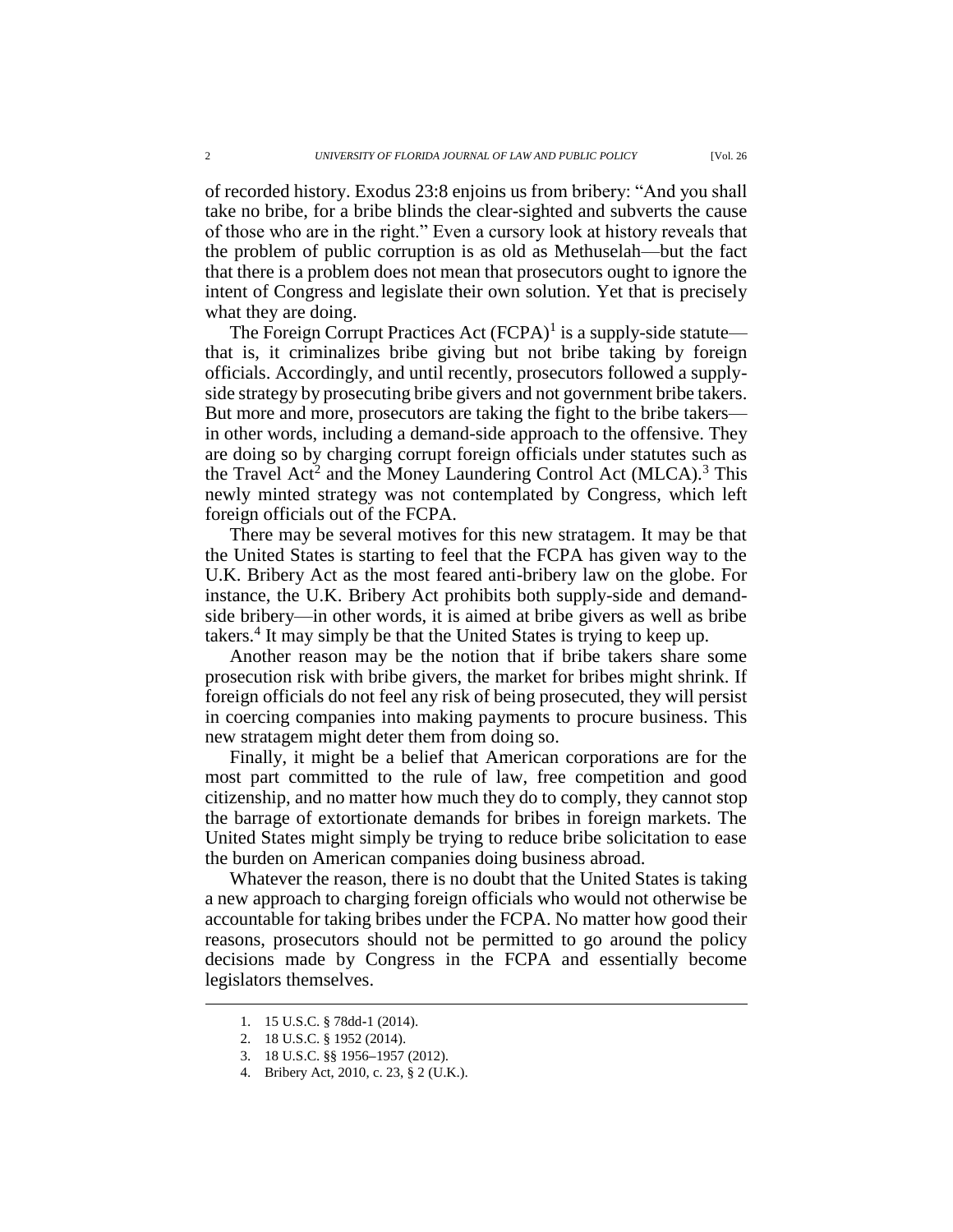of recorded history. Exodus 23:8 enjoins us from bribery: "And you shall take no bribe, for a bribe blinds the clear-sighted and subverts the cause of those who are in the right." Even a cursory look at history reveals that the problem of public corruption is as old as Methuselah—but the fact that there is a problem does not mean that prosecutors ought to ignore the intent of Congress and legislate their own solution. Yet that is precisely what they are doing.

The Foreign Corrupt Practices Act  $(FCPA)^{1}$  is a supply-side statute that is, it criminalizes bribe giving but not bribe taking by foreign officials. Accordingly, and until recently, prosecutors followed a supplyside strategy by prosecuting bribe givers and not government bribe takers. But more and more, prosecutors are taking the fight to the bribe takers in other words, including a demand-side approach to the offensive. They are doing so by charging corrupt foreign officials under statutes such as the Travel Act<sup>2</sup> and the Money Laundering Control Act (MLCA).<sup>3</sup> This newly minted strategy was not contemplated by Congress, which left foreign officials out of the FCPA.

There may be several motives for this new stratagem. It may be that the United States is starting to feel that the FCPA has given way to the U.K. Bribery Act as the most feared anti-bribery law on the globe. For instance, the U.K. Bribery Act prohibits both supply-side and demandside bribery—in other words, it is aimed at bribe givers as well as bribe takers.<sup>4</sup> It may simply be that the United States is trying to keep up.

Another reason may be the notion that if bribe takers share some prosecution risk with bribe givers, the market for bribes might shrink. If foreign officials do not feel any risk of being prosecuted, they will persist in coercing companies into making payments to procure business. This new stratagem might deter them from doing so.

Finally, it might be a belief that American corporations are for the most part committed to the rule of law, free competition and good citizenship, and no matter how much they do to comply, they cannot stop the barrage of extortionate demands for bribes in foreign markets. The United States might simply be trying to reduce bribe solicitation to ease the burden on American companies doing business abroad.

Whatever the reason, there is no doubt that the United States is taking a new approach to charging foreign officials who would not otherwise be accountable for taking bribes under the FCPA. No matter how good their reasons, prosecutors should not be permitted to go around the policy decisions made by Congress in the FCPA and essentially become legislators themselves.

<sup>1.</sup> 15 U.S.C. § 78dd**-**1 (2014).

<sup>2.</sup> 18 U.S.C. § 1952 (2014).

<sup>3.</sup> 18 U.S.C. §§ 1956**–**1957 (2012).

<sup>4.</sup> Bribery Act, 2010, c. 23, § 2 (U.K.).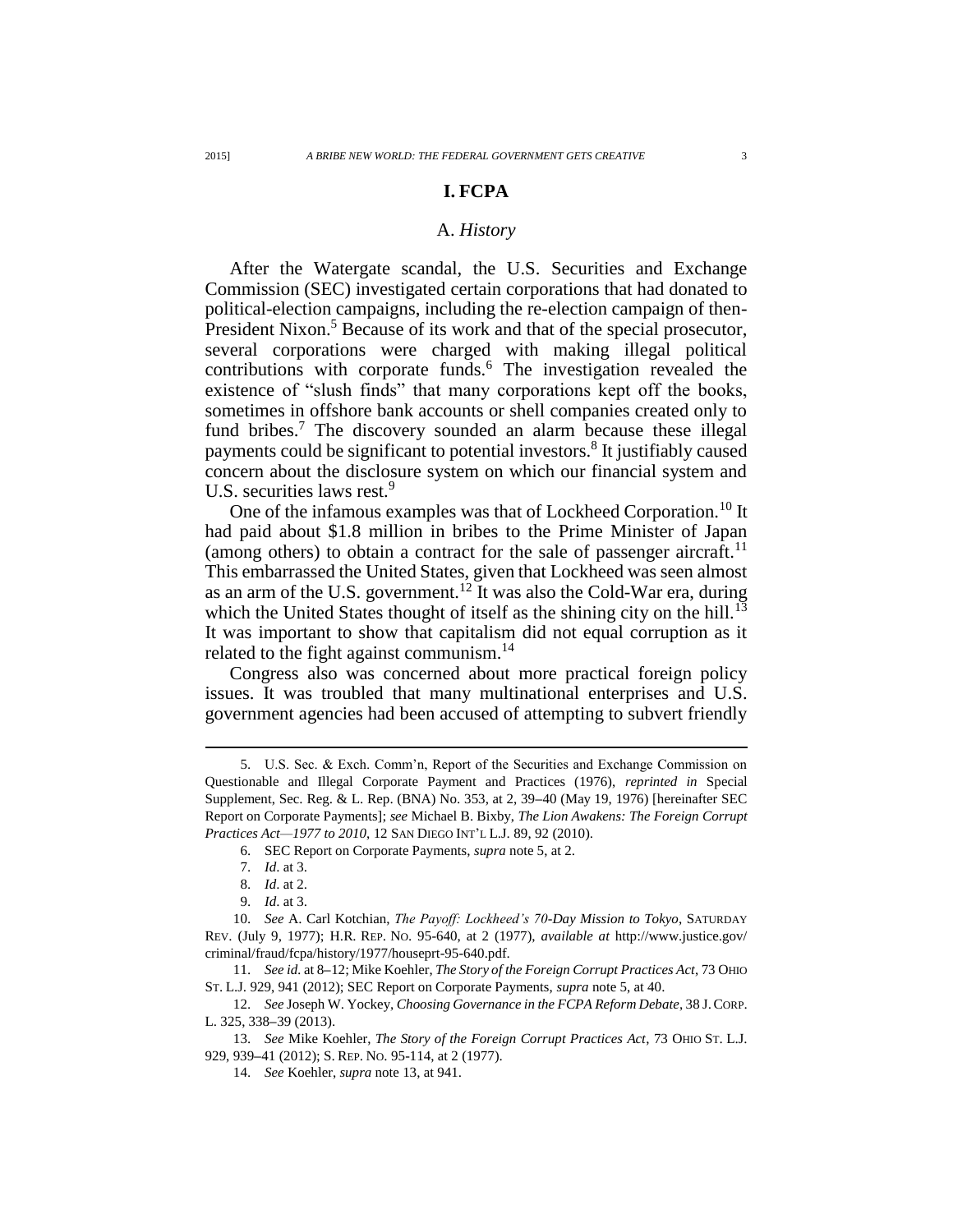# **I. FCPA**

# A. *History*

After the Watergate scandal, the U.S. Securities and Exchange Commission (SEC) investigated certain corporations that had donated to political-election campaigns, including the re-election campaign of then-President Nixon.<sup>5</sup> Because of its work and that of the special prosecutor, several corporations were charged with making illegal political contributions with corporate funds.<sup>6</sup> The investigation revealed the existence of "slush finds" that many corporations kept off the books, sometimes in offshore bank accounts or shell companies created only to fund bribes.<sup>7</sup> The discovery sounded an alarm because these illegal payments could be significant to potential investors.<sup>8</sup> It justifiably caused concern about the disclosure system on which our financial system and U.S. securities laws rest.<sup>9</sup>

One of the infamous examples was that of Lockheed Corporation.<sup>10</sup> It had paid about \$1.8 million in bribes to the Prime Minister of Japan (among others) to obtain a contract for the sale of passenger aircraft.<sup>11</sup> This embarrassed the United States, given that Lockheed was seen almost as an arm of the U.S. government.<sup>12</sup> It was also the Cold-War era, during which the United States thought of itself as the shining city on the hill.<sup>13</sup> It was important to show that capitalism did not equal corruption as it related to the fight against communism.<sup>14</sup>

Congress also was concerned about more practical foreign policy issues. It was troubled that many multinational enterprises and U.S. government agencies had been accused of attempting to subvert friendly

<sup>5.</sup> U.S. Sec. & Exch. Comm'n, Report of the Securities and Exchange Commission on Questionable and Illegal Corporate Payment and Practices (1976), *reprinted in* Special Supplement, Sec. Reg. & L. Rep. (BNA) No. 353, at 2, 39**–**40 (May 19, 1976) [hereinafter SEC Report on Corporate Payments]; *see* Michael B. Bixby, *The Lion Awakens: The Foreign Corrupt Practices Act—1977 to 2010*, 12 SAN DIEGO INT'L L.J. 89, 92 (2010).

<sup>6.</sup> SEC Report on Corporate Payments, *supra* note 5, at 2.

<sup>7.</sup> *Id*. at 3.

<sup>8.</sup> *Id*. at 2.

<sup>9.</sup> *Id*. at 3.

<sup>10.</sup> *See* A. Carl Kotchian, *The Payoff: Lockheed's 70-Day Mission to Tokyo*, SATURDAY REV. (July 9, 1977); H.R. REP. NO. 95-640, at 2 (1977), *available at* http://www.justice.gov/ criminal/fraud/fcpa/history/1977/houseprt-95-640.pdf.

<sup>11.</sup> *See id.* at 8**–**12; Mike Koehler, *The Story of the Foreign Corrupt Practices Act*, 73 OHIO ST. L.J. 929, 941 (2012); SEC Report on Corporate Payments, *supra* note 5, at 40.

<sup>12.</sup> *See* Joseph W. Yockey, *Choosing Governance in the FCPA Reform Debate*, 38 J.CORP. L. 325, 338**–**39 (2013).

<sup>13.</sup> *See* Mike Koehler, *The Story of the Foreign Corrupt Practices Act*, 73 OHIO ST. L.J. 929, 939**–**41 (2012); S. REP. NO. 95-114, at 2 (1977).

<sup>14.</sup> *See* Koehler, *supra* note 13, at 941.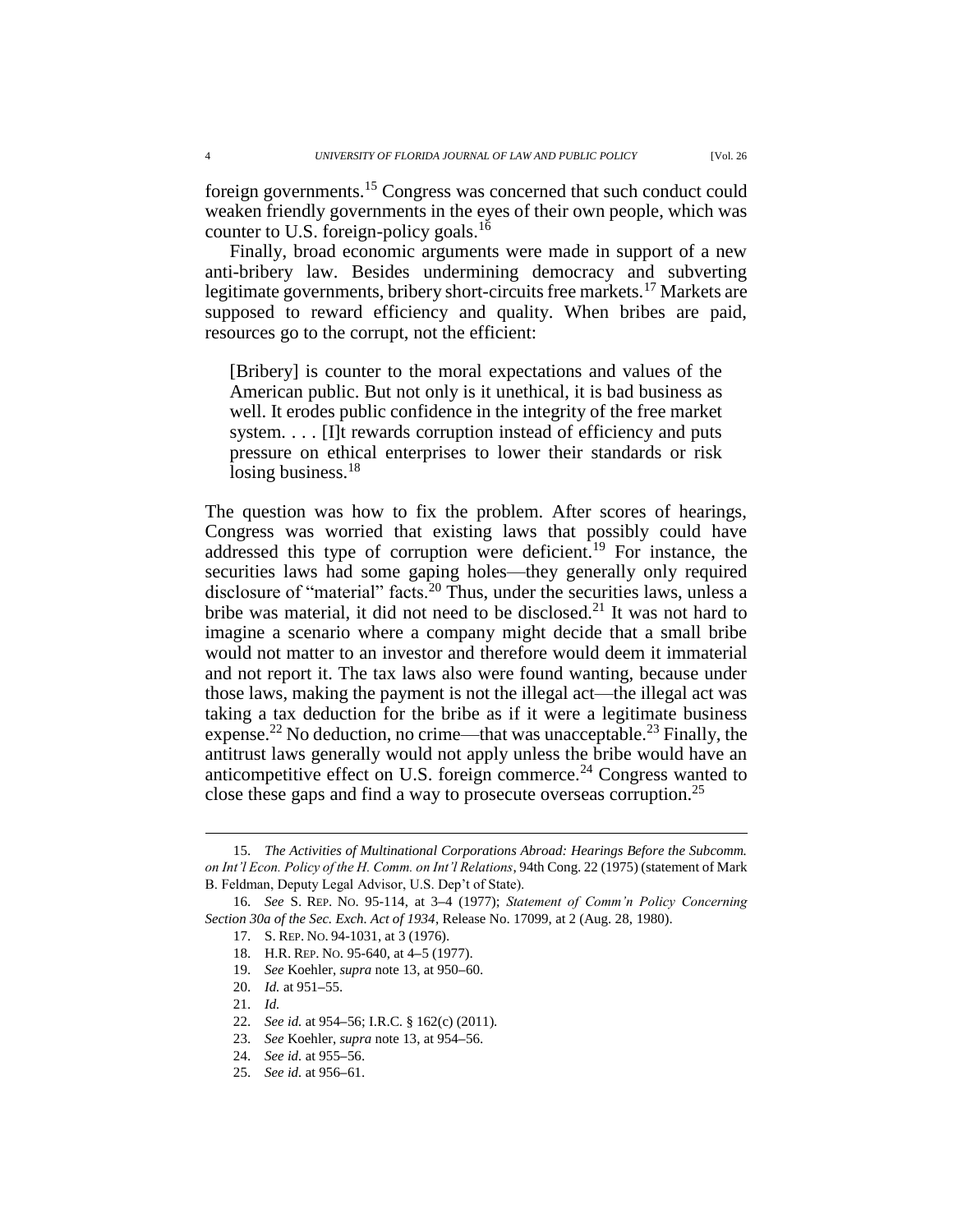Finally, broad economic arguments were made in support of a new anti-bribery law. Besides undermining democracy and subverting legitimate governments, bribery short-circuits free markets.<sup>17</sup> Markets are supposed to reward efficiency and quality. When bribes are paid, resources go to the corrupt, not the efficient:

[Bribery] is counter to the moral expectations and values of the American public. But not only is it unethical, it is bad business as well. It erodes public confidence in the integrity of the free market system. . . . [I]t rewards corruption instead of efficiency and puts pressure on ethical enterprises to lower their standards or risk losing business.<sup>18</sup>

The question was how to fix the problem. After scores of hearings, Congress was worried that existing laws that possibly could have addressed this type of corruption were deficient.<sup>19</sup> For instance, the securities laws had some gaping holes—they generally only required disclosure of "material" facts.<sup>20</sup> Thus, under the securities laws, unless a bribe was material, it did not need to be disclosed.<sup>21</sup> It was not hard to imagine a scenario where a company might decide that a small bribe would not matter to an investor and therefore would deem it immaterial and not report it. The tax laws also were found wanting, because under those laws, making the payment is not the illegal act—the illegal act was taking a tax deduction for the bribe as if it were a legitimate business expense.<sup>22</sup> No deduction, no crime—that was unacceptable.<sup>23</sup> Finally, the antitrust laws generally would not apply unless the bribe would have an anticompetitive effect on U.S. foreign commerce.<sup>24</sup> Congress wanted to close these gaps and find a way to prosecute overseas corruption.<sup>25</sup>

<sup>15.</sup> *The Activities of Multinational Corporations Abroad: Hearings Before the Subcomm. on Int'l Econ. Policy of the H. Comm. on Int'l Relations*, 94th Cong. 22 (1975) (statement of Mark B. Feldman, Deputy Legal Advisor, U.S. Dep't of State).

<sup>16.</sup> *See* S. REP. NO. 95-114, at 3**–**4 (1977); *Statement of Comm'n Policy Concerning Section 30a of the Sec. Exch. Act of 1934*, Release No. 17099, at 2 (Aug. 28, 1980).

<sup>17.</sup> S. REP. NO. 94-1031, at 3 (1976).

<sup>18.</sup> H.R. REP. NO. 95-640, at 4**–**5 (1977).

<sup>19.</sup> *See* Koehler, *supra* note 13, at 950**–**60.

<sup>20.</sup> *Id.* at 951**–**55.

<sup>21.</sup> *Id.*

<sup>22.</sup> *See id.* at 954**–**56; I.R.C. § 162(c) (2011).

<sup>23.</sup> *See* Koehler, *supra* note 13, at 954**–**56.

<sup>24.</sup> *See id.* at 955**–**56.

<sup>25.</sup> *See id.* at 956**–**61.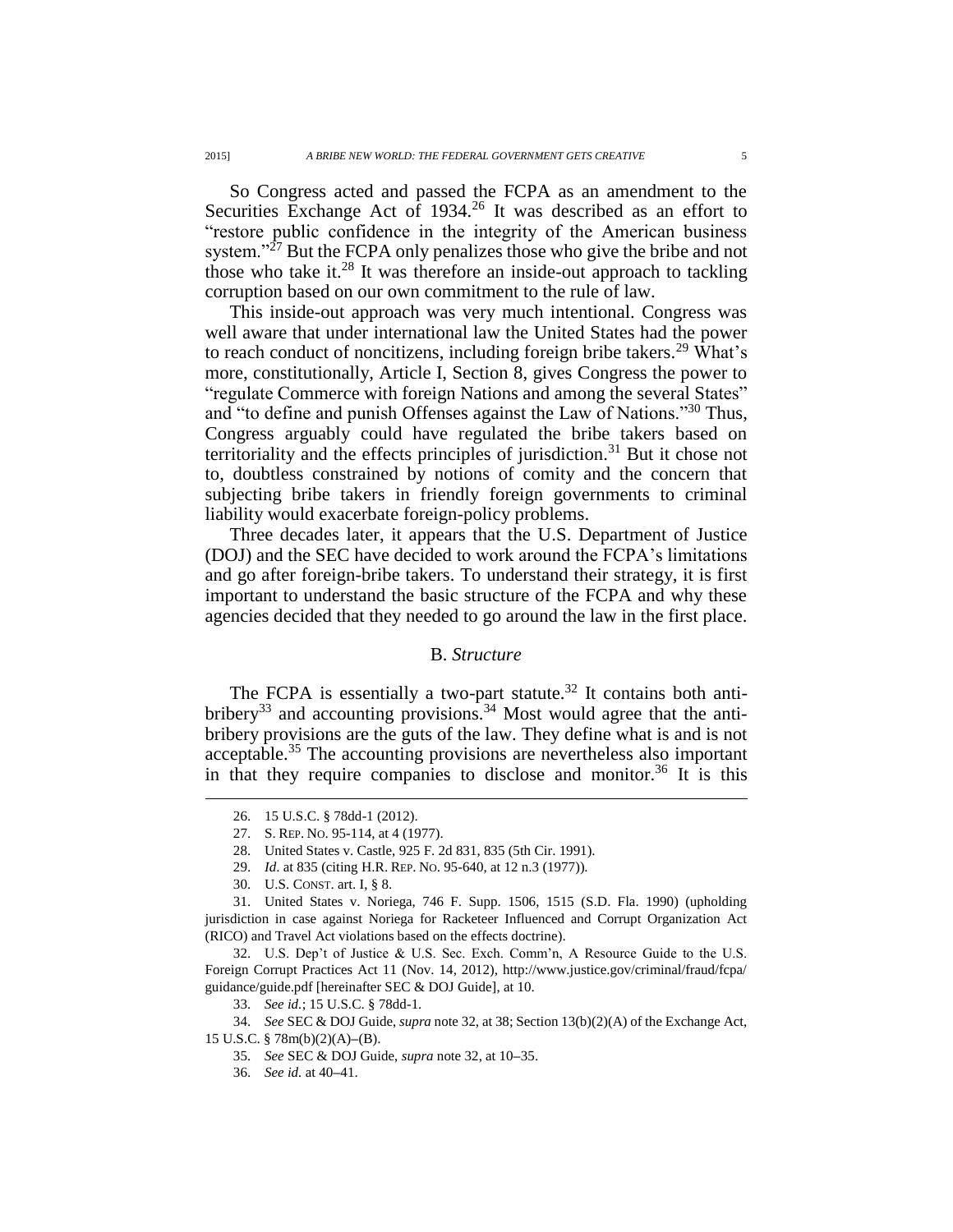So Congress acted and passed the FCPA as an amendment to the Securities Exchange Act of 1934.<sup>26</sup> It was described as an effort to "restore public confidence in the integrity of the American business system."<sup>27</sup> But the FCPA only penalizes those who give the bribe and not those who take it. $^{28}$  It was therefore an inside-out approach to tackling corruption based on our own commitment to the rule of law.

This inside-out approach was very much intentional. Congress was well aware that under international law the United States had the power to reach conduct of noncitizens, including foreign bribe takers.<sup>29</sup> What's more, constitutionally, Article I, Section 8, gives Congress the power to "regulate Commerce with foreign Nations and among the several States" and "to define and punish Offenses against the Law of Nations."<sup>30</sup> Thus, Congress arguably could have regulated the bribe takers based on territoriality and the effects principles of jurisdiction.<sup>31</sup> But it chose not to, doubtless constrained by notions of comity and the concern that subjecting bribe takers in friendly foreign governments to criminal liability would exacerbate foreign-policy problems.

Three decades later, it appears that the U.S. Department of Justice (DOJ) and the SEC have decided to work around the FCPA's limitations and go after foreign-bribe takers. To understand their strategy, it is first important to understand the basic structure of the FCPA and why these agencies decided that they needed to go around the law in the first place.

### B. *Structure*

The FCPA is essentially a two-part statute.<sup>32</sup> It contains both antibribery<sup>33</sup> and accounting provisions.<sup>34</sup> Most would agree that the antibribery provisions are the guts of the law. They define what is and is not acceptable.<sup>35</sup> The accounting provisions are nevertheless also important in that they require companies to disclose and monitor.<sup>36</sup> It is this

 $\overline{a}$ 

31. United States v. Noriega, 746 F. Supp. 1506, 1515 (S.D. Fla. 1990) (upholding jurisdiction in case against Noriega for Racketeer Influenced and Corrupt Organization Act (RICO) and Travel Act violations based on the effects doctrine).

32. U.S. Dep't of Justice & U.S. Sec. Exch. Comm'n, A Resource Guide to the U.S. Foreign Corrupt Practices Act 11 (Nov. 14, 2012), http://www.justice.gov/criminal/fraud/fcpa/ guidance/guide.pdf [hereinafter SEC & DOJ Guide], at 10.

34. *See* SEC & DOJ Guide, *supra* note 32, at 38; Section 13(b)(2)(A) of the Exchange Act, 15 U.S.C. § 78m(b)(2)(A)**–**(B).

- 35. *See* SEC & DOJ Guide, *supra* note 32, at 10**–**35.
- 36. *See id.* at 40**–**41.

<sup>26.</sup> 15 U.S.C. § 78dd-1 (2012).

<sup>27.</sup> S. REP. NO. 95-114, at 4 (1977).

<sup>28.</sup> United States v. Castle, 925 F. 2d 831, 835 (5th Cir. 1991).

<sup>29.</sup> *Id*. at 835 (citing H.R. REP. NO. 95-640, at 12 n.3 (1977)).

<sup>30.</sup> U.S. CONST. art. I, § 8.

<sup>33.</sup> *See id.*; 15 U.S.C. § 78dd-1.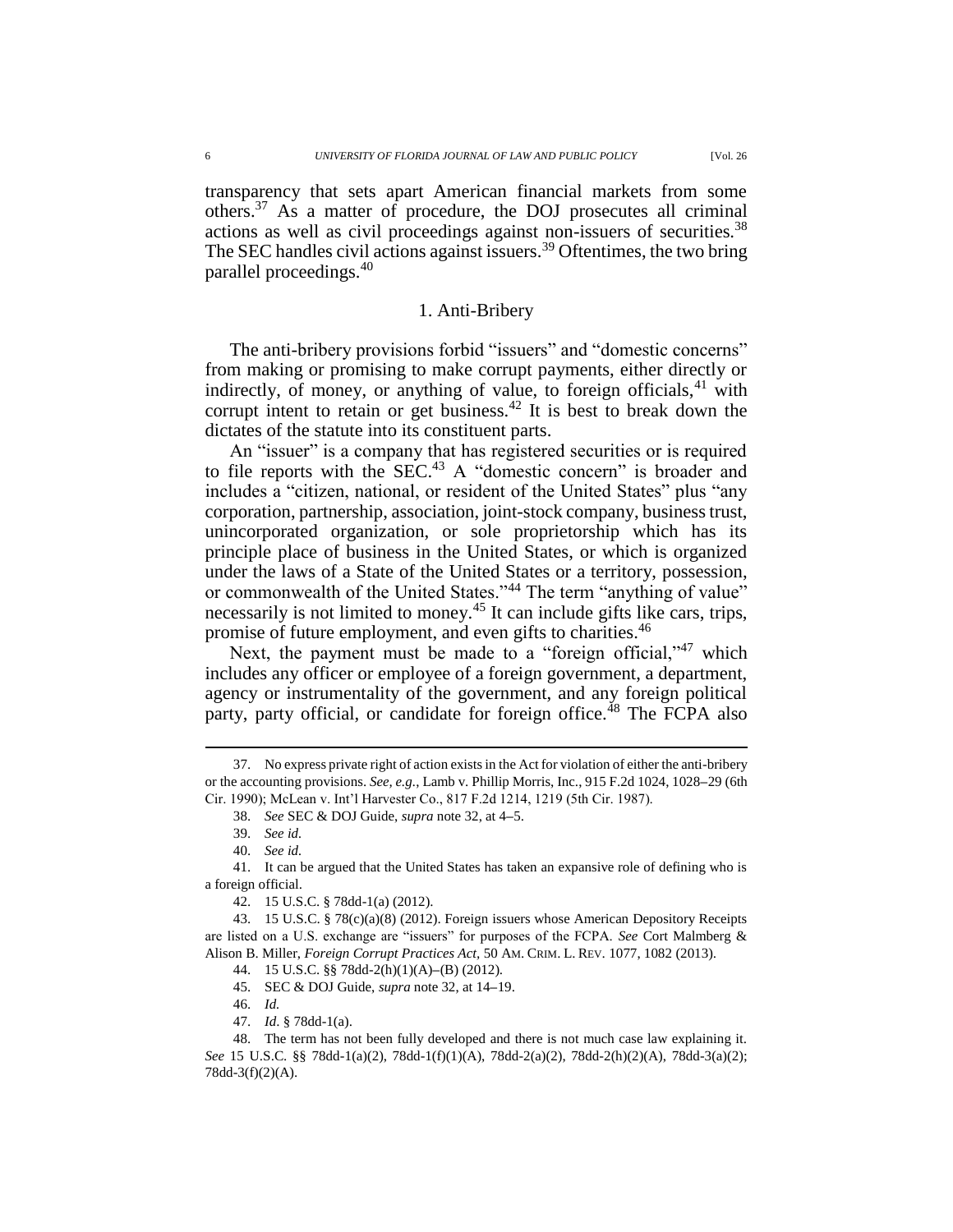transparency that sets apart American financial markets from some others.<sup>37</sup> As a matter of procedure, the DOJ prosecutes all criminal actions as well as civil proceedings against non-issuers of securities.<sup>38</sup> The SEC handles civil actions against issuers.<sup>39</sup> Oftentimes, the two bring parallel proceedings.<sup>40</sup>

### 1. Anti-Bribery

The anti-bribery provisions forbid "issuers" and "domestic concerns" from making or promising to make corrupt payments, either directly or indirectly, of money, or anything of value, to foreign officials,  $41$  with corrupt intent to retain or get business.<sup>42</sup> It is best to break down the dictates of the statute into its constituent parts.

An "issuer" is a company that has registered securities or is required to file reports with the SEC.<sup>43</sup> A "domestic concern" is broader and includes a "citizen, national, or resident of the United States" plus "any corporation, partnership, association, joint-stock company, business trust, unincorporated organization, or sole proprietorship which has its principle place of business in the United States, or which is organized under the laws of a State of the United States or a territory, possession, or commonwealth of the United States."<sup>44</sup> The term "anything of value" necessarily is not limited to money.<sup>45</sup> It can include gifts like cars, trips, promise of future employment, and even gifts to charities.<sup>46</sup>

Next, the payment must be made to a "foreign official,"<sup>47</sup> which includes any officer or employee of a foreign government, a department, agency or instrumentality of the government, and any foreign political party, party official, or candidate for foreign office.<sup>48</sup> The FCPA also

 $\overline{a}$ 

40. *See id.*

46. *Id.*

<sup>37.</sup> No express private right of action exists in the Act for violation of either the anti-bribery or the accounting provisions. *See, e.g.*, Lamb v. Phillip Morris, Inc., 915 F.2d 1024, 1028**–**29 (6th Cir. 1990); McLean v. Int'l Harvester Co., 817 F.2d 1214, 1219 (5th Cir. 1987).

<sup>38.</sup> *See* SEC & DOJ Guide, *supra* note 32, at 4**–**5.

<sup>39.</sup> *See id.*

<sup>41.</sup> It can be argued that the United States has taken an expansive role of defining who is a foreign official.

<sup>42.</sup> 15 U.S.C. § 78dd-1(a) (2012).

<sup>43.</sup> 15 U.S.C. § 78(c)(a)(8) (2012). Foreign issuers whose American Depository Receipts are listed on a U.S. exchange are "issuers" for purposes of the FCPA. *See* Cort Malmberg & Alison B. Miller, *Foreign Corrupt Practices Act,* 50 AM. CRIM. L. REV. 1077, 1082 (2013).

<sup>44.</sup> 15 U.S.C. §§ 78dd-2(h)(1)(A)**–**(B) (2012).

<sup>45.</sup> SEC & DOJ Guide, *supra* note 32, at 14**–**19.

<sup>47.</sup> *Id*. § 78dd-1(a).

<sup>48.</sup> The term has not been fully developed and there is not much case law explaining it. *See* 15 U.S.C. §§ 78dd-1(a)(2), 78dd-1(f)(1)(A), 78dd-2(a)(2), 78dd-2(h)(2)(A), 78dd-3(a)(2); 78dd-3(f)(2)(A).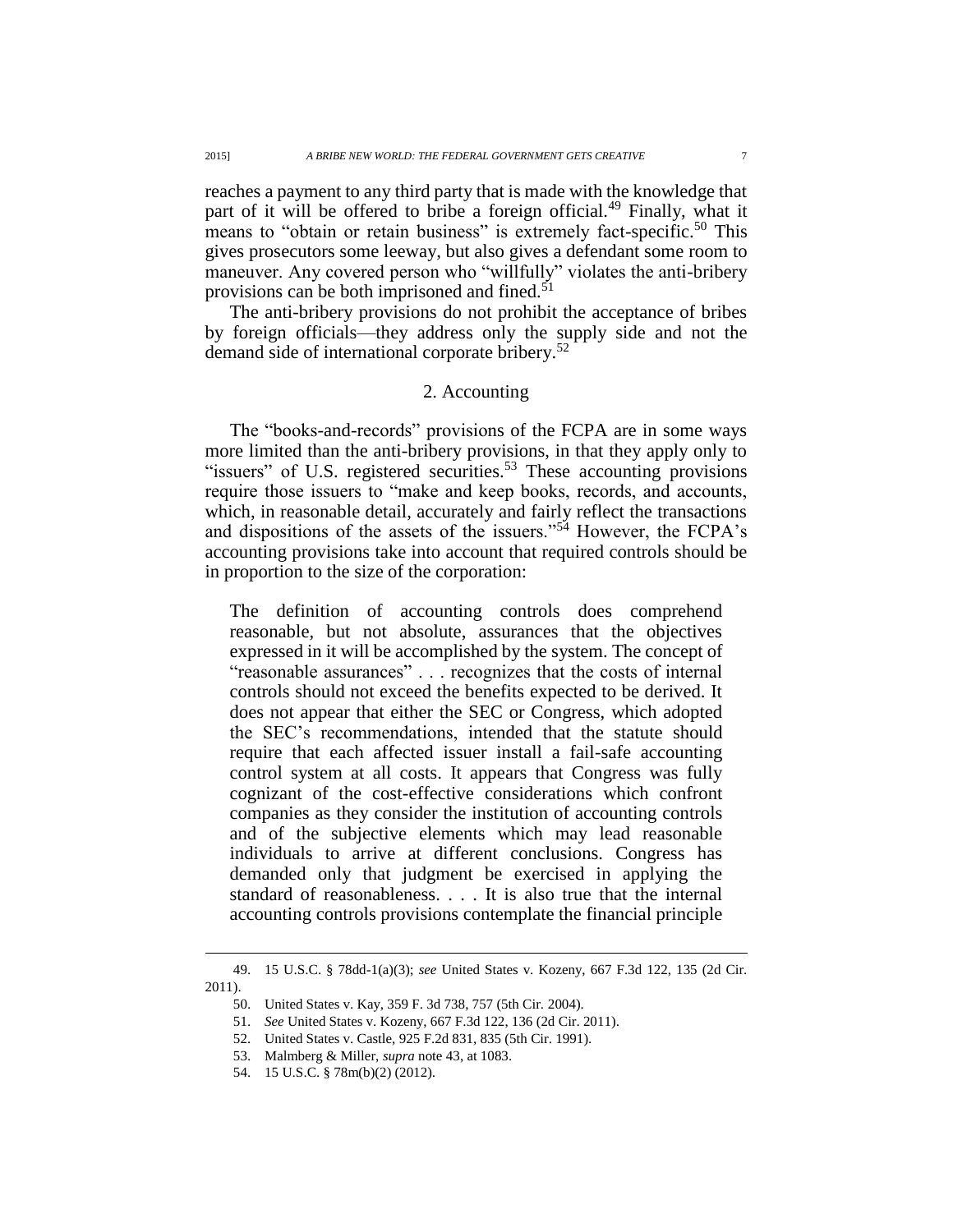reaches a payment to any third party that is made with the knowledge that part of it will be offered to bribe a foreign official.<sup>49</sup> Finally, what it means to "obtain or retain business" is extremely fact-specific.<sup>50</sup> This gives prosecutors some leeway, but also gives a defendant some room to maneuver. Any covered person who "willfully" violates the anti-bribery provisions can be both imprisoned and fined.<sup>51</sup>

The anti-bribery provisions do not prohibit the acceptance of bribes by foreign officials—they address only the supply side and not the demand side of international corporate bribery.<sup>52</sup>

### 2. Accounting

The "books-and-records" provisions of the FCPA are in some ways more limited than the anti-bribery provisions, in that they apply only to "issuers" of U.S. registered securities.<sup>53</sup> These accounting provisions require those issuers to "make and keep books, records, and accounts, which, in reasonable detail, accurately and fairly reflect the transactions and dispositions of the assets of the issuers."<sup>54</sup> However, the FCPA's accounting provisions take into account that required controls should be in proportion to the size of the corporation:

The definition of accounting controls does comprehend reasonable, but not absolute, assurances that the objectives expressed in it will be accomplished by the system. The concept of "reasonable assurances" . . . recognizes that the costs of internal controls should not exceed the benefits expected to be derived. It does not appear that either the SEC or Congress, which adopted the SEC's recommendations, intended that the statute should require that each affected issuer install a fail-safe accounting control system at all costs. It appears that Congress was fully cognizant of the cost-effective considerations which confront companies as they consider the institution of accounting controls and of the subjective elements which may lead reasonable individuals to arrive at different conclusions. Congress has demanded only that judgment be exercised in applying the standard of reasonableness. . . . It is also true that the internal accounting controls provisions contemplate the financial principle

<sup>49.</sup> 15 U.S.C. § 78dd-1(a)(3); *see* United States v. Kozeny, 667 F.3d 122, 135 (2d Cir. 2011).

<sup>50.</sup> United States v. Kay, 359 F. 3d 738, 757 (5th Cir. 2004).

<sup>51.</sup> *See* United States v. Kozeny, 667 F.3d 122, 136 (2d Cir. 2011).

<sup>52.</sup> United States v. Castle, 925 F.2d 831, 835 (5th Cir. 1991).

<sup>53.</sup> Malmberg & Miller, *supra* note 43, at 1083.

<sup>54.</sup> 15 U.S.C. § 78m(b)(2) (2012).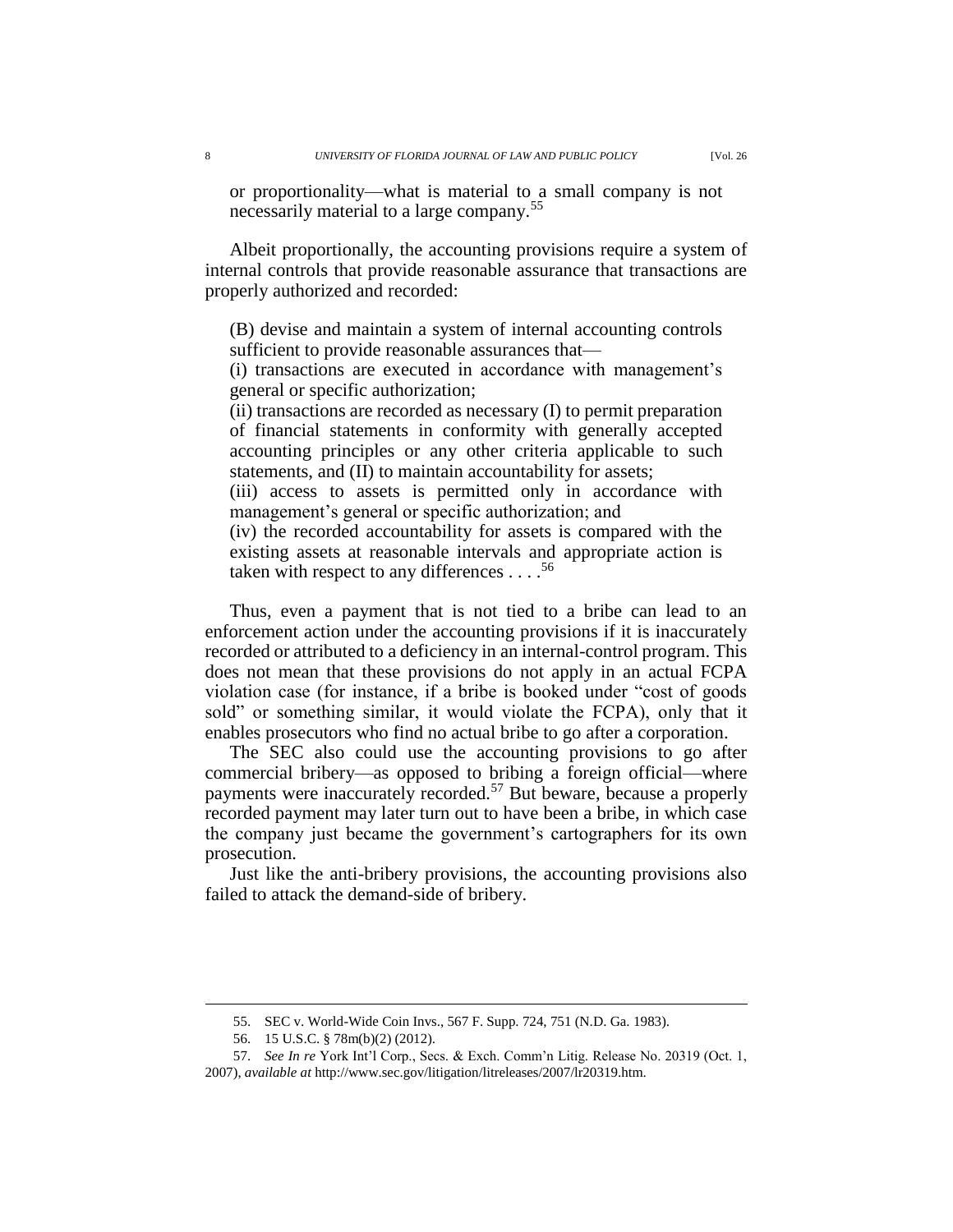or proportionality—what is material to a small company is not necessarily material to a large company.<sup>55</sup>

Albeit proportionally, the accounting provisions require a system of internal controls that provide reasonable assurance that transactions are properly authorized and recorded:

(B) devise and maintain a system of internal accounting controls sufficient to provide reasonable assurances that—

(i) transactions are executed in accordance with management's general or specific authorization;

(ii) transactions are recorded as necessary (I) to permit preparation of financial statements in conformity with generally accepted accounting principles or any other criteria applicable to such statements, and (II) to maintain accountability for assets;

(iii) access to assets is permitted only in accordance with management's general or specific authorization; and

(iv) the recorded accountability for assets is compared with the existing assets at reasonable intervals and appropriate action is taken with respect to any differences  $\dots$ <sup>56</sup>

Thus, even a payment that is not tied to a bribe can lead to an enforcement action under the accounting provisions if it is inaccurately recorded or attributed to a deficiency in an internal-control program. This does not mean that these provisions do not apply in an actual FCPA violation case (for instance, if a bribe is booked under "cost of goods sold" or something similar, it would violate the FCPA), only that it enables prosecutors who find no actual bribe to go after a corporation.

The SEC also could use the accounting provisions to go after commercial bribery—as opposed to bribing a foreign official—where payments were inaccurately recorded.<sup>57</sup> But beware, because a properly recorded payment may later turn out to have been a bribe, in which case the company just became the government's cartographers for its own prosecution.

Just like the anti-bribery provisions, the accounting provisions also failed to attack the demand-side of bribery.

<sup>55.</sup> SEC v. World-Wide Coin Invs., 567 F. Supp. 724, 751 (N.D. Ga. 1983).

<sup>56.</sup> 15 U.S.C. § 78m(b)(2) (2012).

<sup>57.</sup> *See In re* York Int'l Corp., Secs. & Exch. Comm'n Litig. Release No. 20319 (Oct. 1, 2007), *available at* http://www.sec.gov/litigation/litreleases/2007/lr20319.htm.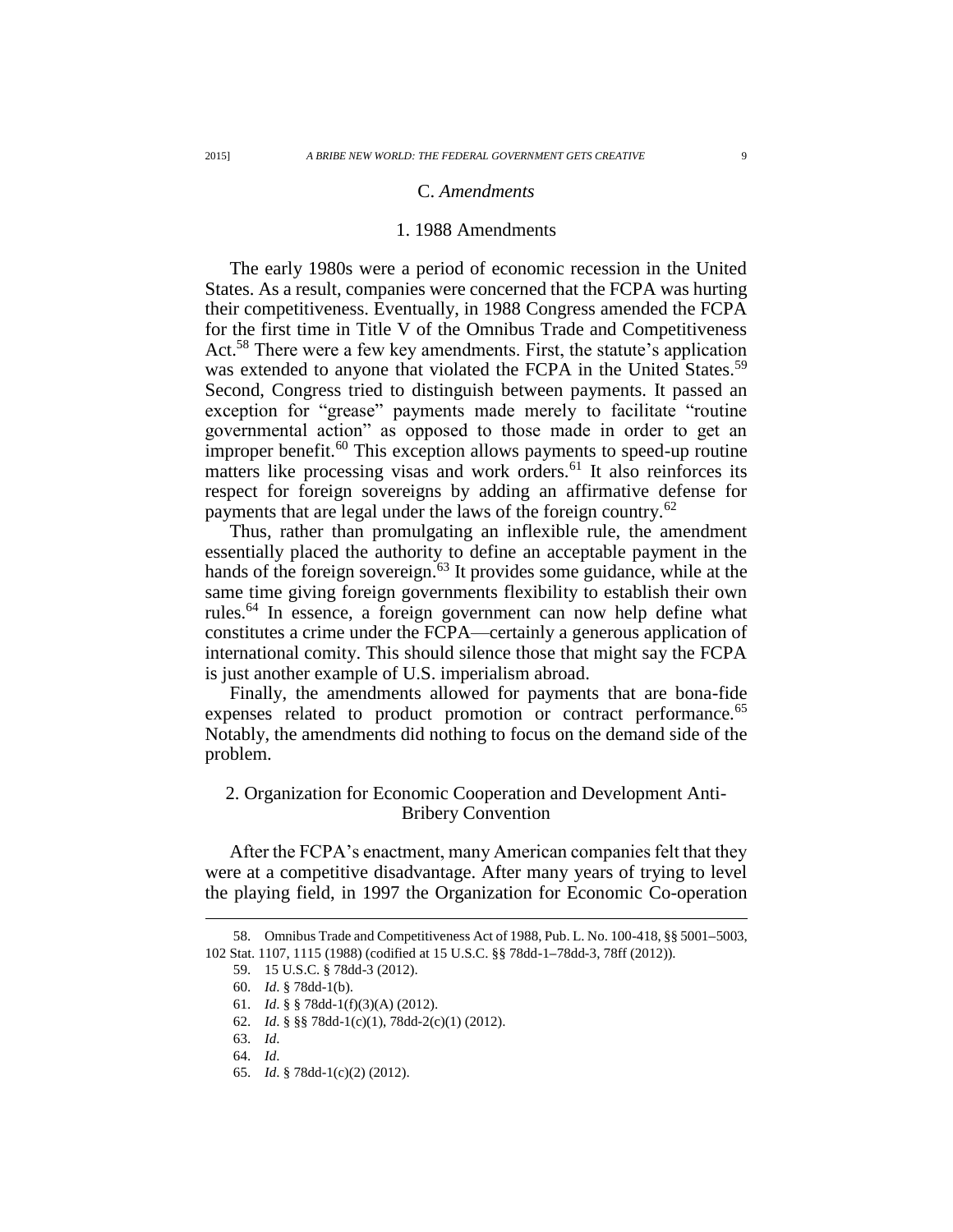#### C. *Amendments*

## 1. 1988 Amendments

The early 1980s were a period of economic recession in the United States. As a result, companies were concerned that the FCPA was hurting their competitiveness. Eventually, in 1988 Congress amended the FCPA for the first time in Title V of the Omnibus Trade and Competitiveness Act.<sup>58</sup> There were a few key amendments. First, the statute's application was extended to anyone that violated the FCPA in the United States.<sup>59</sup> Second, Congress tried to distinguish between payments. It passed an exception for "grease" payments made merely to facilitate "routine governmental action" as opposed to those made in order to get an improper benefit.<sup>60</sup> This exception allows payments to speed-up routine matters like processing visas and work orders.<sup>61</sup> It also reinforces its respect for foreign sovereigns by adding an affirmative defense for payments that are legal under the laws of the foreign country.<sup>62</sup>

Thus, rather than promulgating an inflexible rule, the amendment essentially placed the authority to define an acceptable payment in the hands of the foreign sovereign.<sup>63</sup> It provides some guidance, while at the same time giving foreign governments flexibility to establish their own rules.<sup>64</sup> In essence, a foreign government can now help define what constitutes a crime under the FCPA—certainly a generous application of international comity. This should silence those that might say the FCPA is just another example of U.S. imperialism abroad.

Finally, the amendments allowed for payments that are bona-fide expenses related to product promotion or contract performance.<sup>65</sup> Notably, the amendments did nothing to focus on the demand side of the problem.

# 2. Organization for Economic Cooperation and Development Anti-Bribery Convention

After the FCPA's enactment, many American companies felt that they were at a competitive disadvantage. After many years of trying to level the playing field, in 1997 the Organization for Economic Co-operation

<sup>58.</sup> Omnibus Trade and Competitiveness Act of 1988, Pub. L. No. 100-418, §§ 5001**–**5003, 102 Stat. 1107, 1115 (1988) (codified at 15 U.S.C. §§ 78dd-1**–**78dd-3, 78ff (2012)).

<sup>59.</sup> 15 U.S.C. § 78dd-3 (2012).

<sup>60.</sup> *Id*. § 78dd-1(b).

<sup>61.</sup> *Id*. § § 78dd-1(f)(3)(A) (2012).

<sup>62.</sup> *Id*. § §§ 78dd-1(c)(1), 78dd-2(c)(1) (2012).

<sup>63.</sup> *Id*.

<sup>64.</sup> *Id*.

<sup>65.</sup> *Id*. § 78dd-1(c)(2) (2012).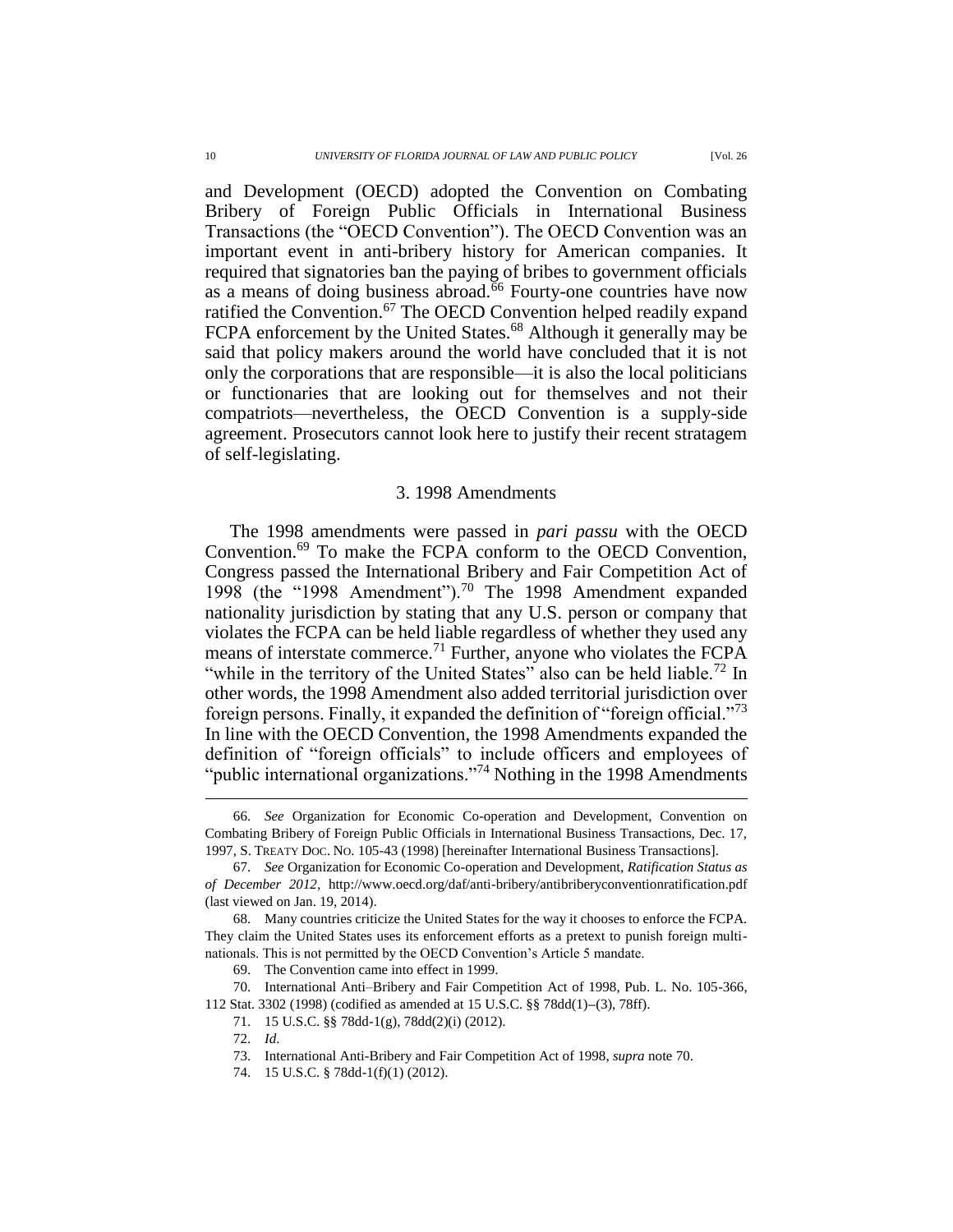and Development (OECD) adopted the Convention on Combating Bribery of Foreign Public Officials in International Business Transactions (the "OECD Convention"). The OECD Convention was an important event in anti-bribery history for American companies. It required that signatories ban the paying of bribes to government officials as a means of doing business abroad.<sup>66</sup> Fourty-one countries have now ratified the Convention.<sup>67</sup> The OECD Convention helped readily expand FCPA enforcement by the United States.<sup>68</sup> Although it generally may be said that policy makers around the world have concluded that it is not only the corporations that are responsible—it is also the local politicians or functionaries that are looking out for themselves and not their compatriots—nevertheless, the OECD Convention is a supply-side agreement. Prosecutors cannot look here to justify their recent stratagem of self-legislating.

#### 3. 1998 Amendments

The 1998 amendments were passed in *pari passu* with the OECD Convention.<sup>69</sup> To make the FCPA conform to the OECD Convention, Congress passed the International Bribery and Fair Competition Act of 1998 (the "1998 Amendment").<sup>70</sup> The 1998 Amendment expanded nationality jurisdiction by stating that any U.S. person or company that violates the FCPA can be held liable regardless of whether they used any means of interstate commerce.<sup>71</sup> Further, anyone who violates the FCPA "while in the territory of the United States" also can be held liable.<sup>72</sup> In other words, the 1998 Amendment also added territorial jurisdiction over foreign persons. Finally, it expanded the definition of "foreign official."<sup>73</sup> In line with the OECD Convention, the 1998 Amendments expanded the definition of "foreign officials" to include officers and employees of "public international organizations."<sup>74</sup> Nothing in the 1998 Amendments

<sup>66.</sup> *See* Organization for Economic Co-operation and Development, Convention on Combating Bribery of Foreign Public Officials in International Business Transactions, Dec. 17, 1997, S. TREATY DOC. NO. 105-43 (1998) [hereinafter International Business Transactions].

<sup>67.</sup> *See* Organization for Economic Co-operation and Development, *Ratification Status as of December 2012*, http://www.oecd.org/daf/anti-bribery/antibriberyconventionratification.pdf (last viewed on Jan. 19, 2014).

<sup>68.</sup> Many countries criticize the United States for the way it chooses to enforce the FCPA. They claim the United States uses its enforcement efforts as a pretext to punish foreign multinationals. This is not permitted by the OECD Convention's Article 5 mandate.

<sup>69.</sup> The Convention came into effect in 1999.

<sup>70.</sup> International Anti–Bribery and Fair Competition Act of 1998, Pub. L. No. 105-366, 112 Stat. 3302 (1998) (codified as amended at 15 U.S.C. §§ 78dd(1)**–**(3), 78ff).

<sup>71.</sup> 15 U.S.C. §§ 78dd-1(g), 78dd(2)(i) (2012).

<sup>72.</sup> *Id*.

<sup>73.</sup> International Anti-Bribery and Fair Competition Act of 1998, *supra* note 70.

<sup>74.</sup> 15 U.S.C. § 78dd-1(f)(1) (2012).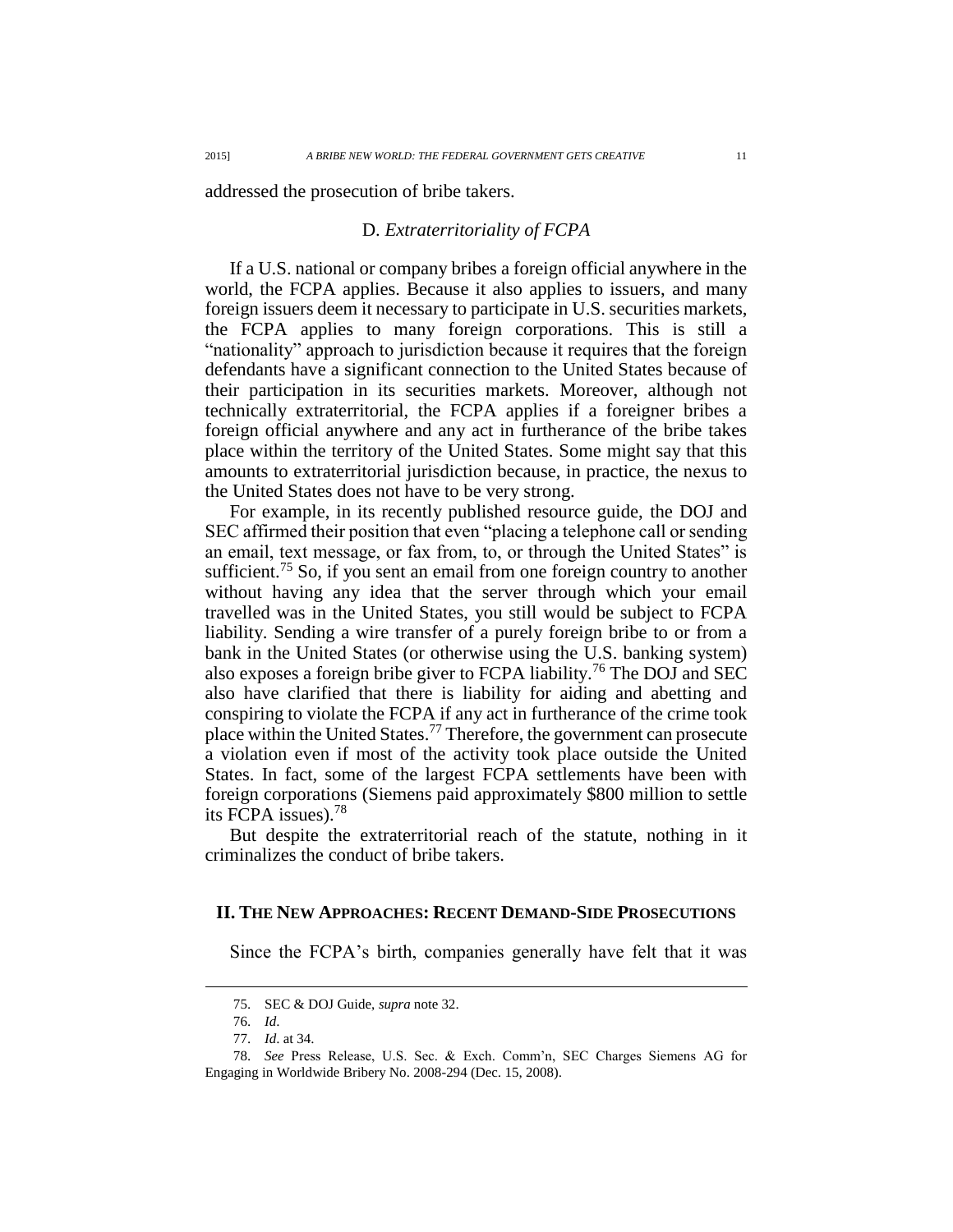addressed the prosecution of bribe takers.

### D. *Extraterritoriality of FCPA*

If a U.S. national or company bribes a foreign official anywhere in the world, the FCPA applies. Because it also applies to issuers, and many foreign issuers deem it necessary to participate in U.S. securities markets, the FCPA applies to many foreign corporations. This is still a "nationality" approach to jurisdiction because it requires that the foreign defendants have a significant connection to the United States because of their participation in its securities markets. Moreover, although not technically extraterritorial, the FCPA applies if a foreigner bribes a foreign official anywhere and any act in furtherance of the bribe takes place within the territory of the United States. Some might say that this amounts to extraterritorial jurisdiction because, in practice, the nexus to the United States does not have to be very strong.

For example, in its recently published resource guide, the DOJ and SEC affirmed their position that even "placing a telephone call or sending an email, text message, or fax from, to, or through the United States" is sufficient.<sup>75</sup> So, if you sent an email from one foreign country to another without having any idea that the server through which your email travelled was in the United States, you still would be subject to FCPA liability. Sending a wire transfer of a purely foreign bribe to or from a bank in the United States (or otherwise using the U.S. banking system) also exposes a foreign bribe giver to FCPA liability.<sup>76</sup> The DOJ and SEC also have clarified that there is liability for aiding and abetting and conspiring to violate the FCPA if any act in furtherance of the crime took place within the United States.<sup>77</sup> Therefore, the government can prosecute a violation even if most of the activity took place outside the United States. In fact, some of the largest FCPA settlements have been with foreign corporations (Siemens paid approximately \$800 million to settle its FCPA issues).<sup>78</sup>

But despite the extraterritorial reach of the statute, nothing in it criminalizes the conduct of bribe takers.

### **II. THE NEW APPROACHES: RECENT DEMAND-SIDE PROSECUTIONS**

Since the FCPA's birth, companies generally have felt that it was

<sup>75.</sup> SEC & DOJ Guide, *supra* note 32.

<sup>76.</sup> *Id*.

<sup>77.</sup> *Id*. at 34.

<sup>78.</sup> *See* Press Release, U.S. Sec. & Exch. Comm'n, SEC Charges Siemens AG for Engaging in Worldwide Bribery No. 2008-294 (Dec. 15, 2008).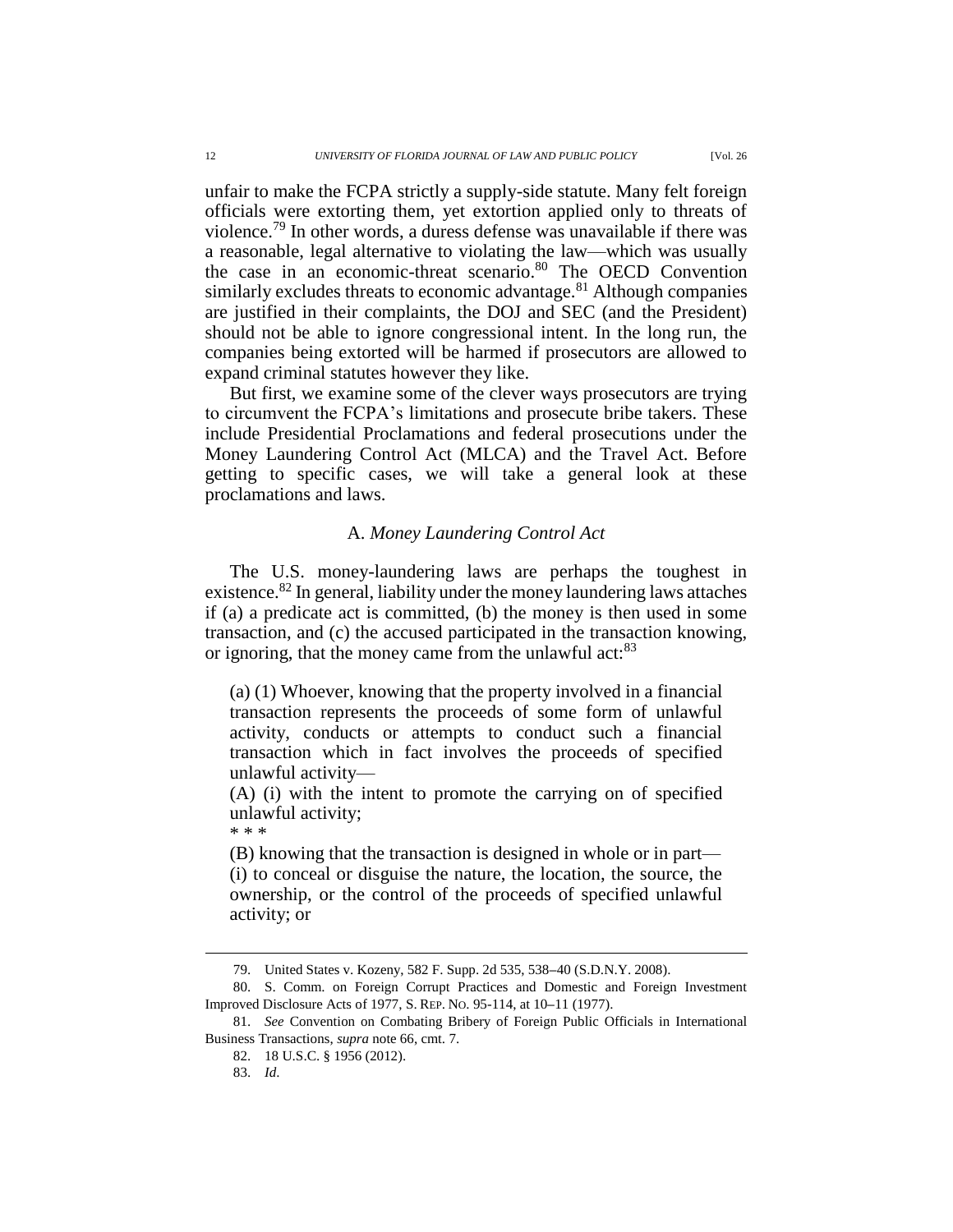unfair to make the FCPA strictly a supply-side statute. Many felt foreign officials were extorting them, yet extortion applied only to threats of violence.<sup>79</sup> In other words, a duress defense was unavailable if there was a reasonable, legal alternative to violating the law—which was usually the case in an economic-threat scenario.<sup>80</sup> The OECD Convention similarly excludes threats to economic advantage.<sup>81</sup> Although companies are justified in their complaints, the DOJ and SEC (and the President) should not be able to ignore congressional intent. In the long run, the companies being extorted will be harmed if prosecutors are allowed to expand criminal statutes however they like.

But first, we examine some of the clever ways prosecutors are trying to circumvent the FCPA's limitations and prosecute bribe takers. These include Presidential Proclamations and federal prosecutions under the Money Laundering Control Act (MLCA) and the Travel Act. Before getting to specific cases, we will take a general look at these proclamations and laws.

## A. *Money Laundering Control Act*

The U.S. money-laundering laws are perhaps the toughest in existence.<sup>82</sup> In general, liability under the money laundering laws attaches if (a) a predicate act is committed, (b) the money is then used in some transaction, and (c) the accused participated in the transaction knowing, or ignoring, that the money came from the unlawful act:<sup>83</sup>

(a) (1) Whoever, knowing that the property involved in a financial transaction represents the proceeds of some form of unlawful activity, conducts or attempts to conduct such a financial transaction which in fact involves the proceeds of specified unlawful activity—

(A) (i) with the intent to promote the carrying on of specified unlawful activity;

\* \* \*

 $\overline{a}$ 

(B) knowing that the transaction is designed in whole or in part— (i) to conceal or disguise the nature, the location, the source, the ownership, or the control of the proceeds of specified unlawful activity; or

<sup>79.</sup> United States v. Kozeny, 582 F. Supp. 2d 535, 538**–**40 (S.D.N.Y. 2008).

<sup>80.</sup> S. Comm. on Foreign Corrupt Practices and Domestic and Foreign Investment Improved Disclosure Acts of 1977, S. REP. NO. 95-114, at 10**–**11 (1977).

<sup>81.</sup> *See* Convention on Combating Bribery of Foreign Public Officials in International Business Transactions, *supra* note 66, cmt. 7.

<sup>82.</sup> 18 U.S.C. § 1956 (2012).

<sup>83.</sup> *Id*.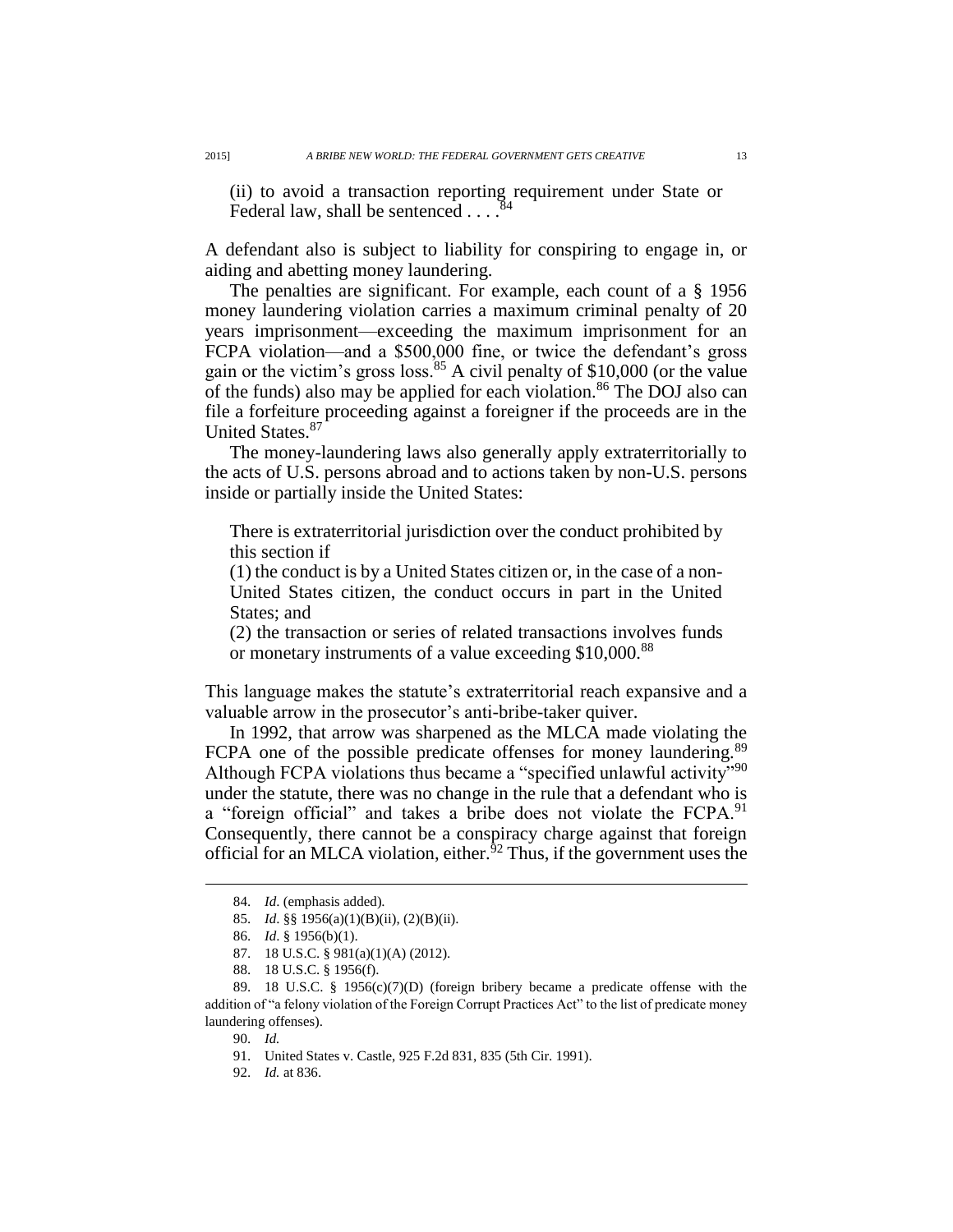(ii) to avoid a transaction reporting requirement under State or Federal law, shall be sentenced  $\ldots$ <sup>84</sup>

A defendant also is subject to liability for conspiring to engage in, or aiding and abetting money laundering.

The penalties are significant. For example, each count of a § 1956 money laundering violation carries a maximum criminal penalty of 20 years imprisonment—exceeding the maximum imprisonment for an FCPA violation—and a \$500,000 fine, or twice the defendant's gross gain or the victim's gross loss.<sup>85</sup> A civil penalty of \$10,000 (or the value of the funds) also may be applied for each violation.<sup>86</sup> The DOJ also can file a forfeiture proceeding against a foreigner if the proceeds are in the United States.<sup>87</sup>

The money-laundering laws also generally apply extraterritorially to the acts of U.S. persons abroad and to actions taken by non-U.S. persons inside or partially inside the United States:

There is extraterritorial jurisdiction over the conduct prohibited by this section if

(1) the conduct is by a United States citizen or, in the case of a non-United States citizen, the conduct occurs in part in the United States; and

(2) the transaction or series of related transactions involves funds or monetary instruments of a value exceeding \$10,000.<sup>88</sup>

This language makes the statute's extraterritorial reach expansive and a valuable arrow in the prosecutor's anti-bribe-taker quiver.

In 1992, that arrow was sharpened as the MLCA made violating the FCPA one of the possible predicate offenses for money laundering.<sup>89</sup> Although FCPA violations thus became a "specified unlawful activity"<sup>90</sup> under the statute, there was no change in the rule that a defendant who is a "foreign official" and takes a bribe does not violate the FCPA.<sup>91</sup> Consequently, there cannot be a conspiracy charge against that foreign official for an MLCA violation, either. ${}^{52}$  Thus, if the government uses the

<sup>84.</sup> *Id*. (emphasis added).

<sup>85.</sup> *Id*. §§ 1956(a)(1)(B)(ii), (2)(B)(ii).

<sup>86.</sup> *Id*. § 1956(b)(1).

<sup>87.</sup> 18 U.S.C. § 981(a)(1)(A) (2012).

<sup>88.</sup> 18 U.S.C. § 1956(f).

<sup>89.</sup> 18 U.S.C. § 1956(c)(7)(D) (foreign bribery became a predicate offense with the addition of "a felony violation of the Foreign Corrupt Practices Act" to the list of predicate money laundering offenses).

<sup>90.</sup> *Id.*

<sup>91.</sup> United States v. Castle, 925 F.2d 831, 835 (5th Cir. 1991).

<sup>92.</sup> *Id.* at 836.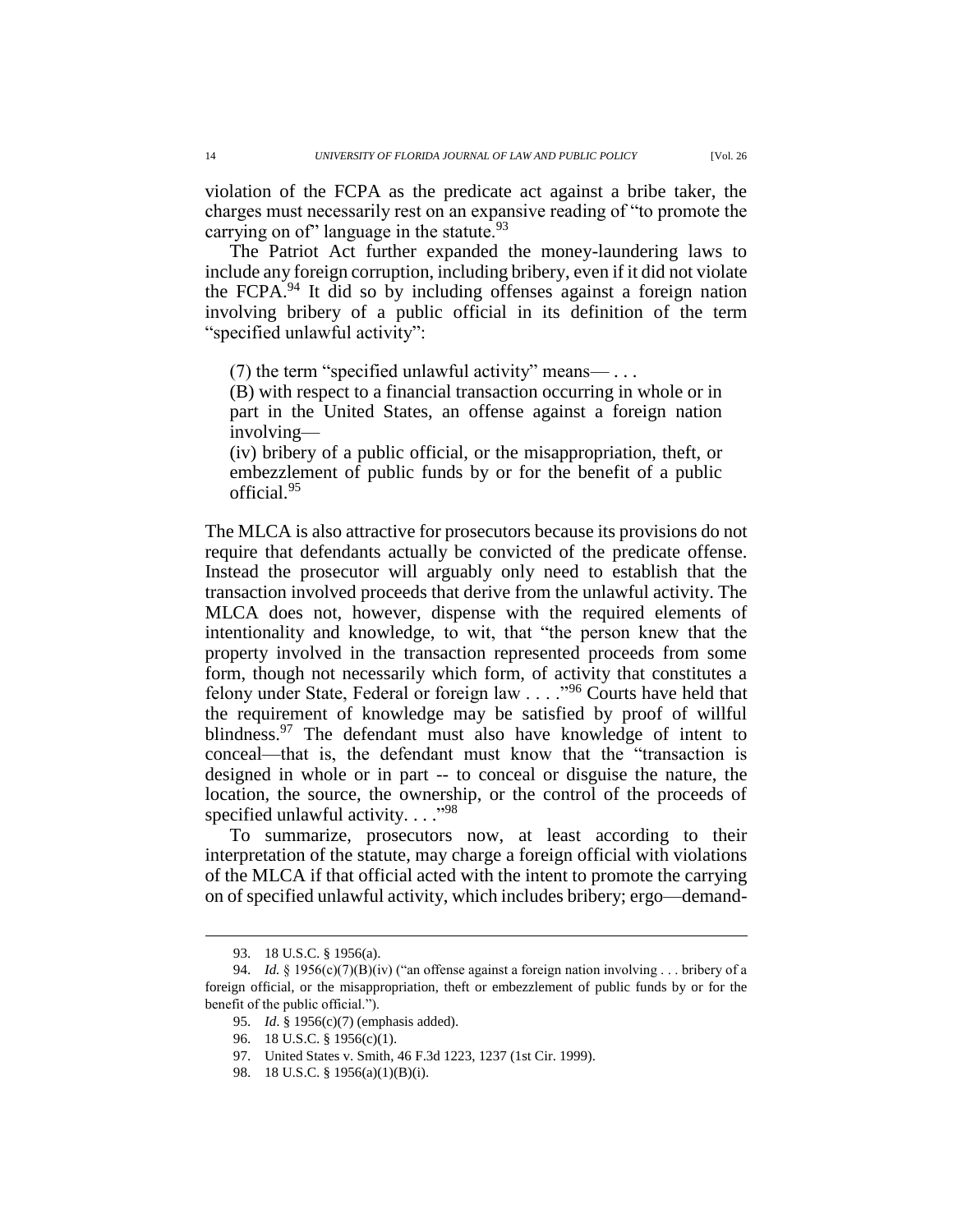violation of the FCPA as the predicate act against a bribe taker, the charges must necessarily rest on an expansive reading of "to promote the carrying on of" language in the statute. $93$ 

The Patriot Act further expanded the money-laundering laws to include any foreign corruption, including bribery, even if it did not violate the FCPA.<sup>94</sup> It did so by including offenses against a foreign nation involving bribery of a public official in its definition of the term "specified unlawful activity":

(7) the term "specified unlawful activity" means— $\ldots$ 

(B) with respect to a financial transaction occurring in whole or in part in the United States, an offense against a foreign nation involving—

(iv) bribery of a public official, or the misappropriation, theft, or embezzlement of public funds by or for the benefit of a public official.<sup>95</sup>

The MLCA is also attractive for prosecutors because its provisions do not require that defendants actually be convicted of the predicate offense. Instead the prosecutor will arguably only need to establish that the transaction involved proceeds that derive from the unlawful activity. The MLCA does not, however, dispense with the required elements of intentionality and knowledge, to wit, that "the person knew that the property involved in the transaction represented proceeds from some form, though not necessarily which form, of activity that constitutes a felony under State, Federal or foreign law . . . ."<sup>96</sup> Courts have held that the requirement of knowledge may be satisfied by proof of willful blindness.<sup>97</sup> The defendant must also have knowledge of intent to conceal—that is, the defendant must know that the "transaction is designed in whole or in part -- to conceal or disguise the nature, the location, the source, the ownership, or the control of the proceeds of specified unlawful activity. . . . "98

To summarize, prosecutors now, at least according to their interpretation of the statute, may charge a foreign official with violations of the MLCA if that official acted with the intent to promote the carrying on of specified unlawful activity, which includes bribery; ergo—demand-

<sup>93.</sup> 18 U.S.C. § 1956(a).

<sup>94.</sup> *Id.* § 1956(c)(7)(B)(iv) ("an offense against a foreign nation involving . . . bribery of a foreign official, or the misappropriation, theft or embezzlement of public funds by or for the benefit of the public official.").

<sup>95.</sup> *Id*. § 1956(c)(7) (emphasis added).

<sup>96.</sup> 18 U.S.C. § 1956(c)(1).

<sup>97.</sup> United States v. Smith, 46 F.3d 1223, 1237 (1st Cir. 1999).

<sup>98.</sup> 18 U.S.C. § 1956(a)(1)(B)(i).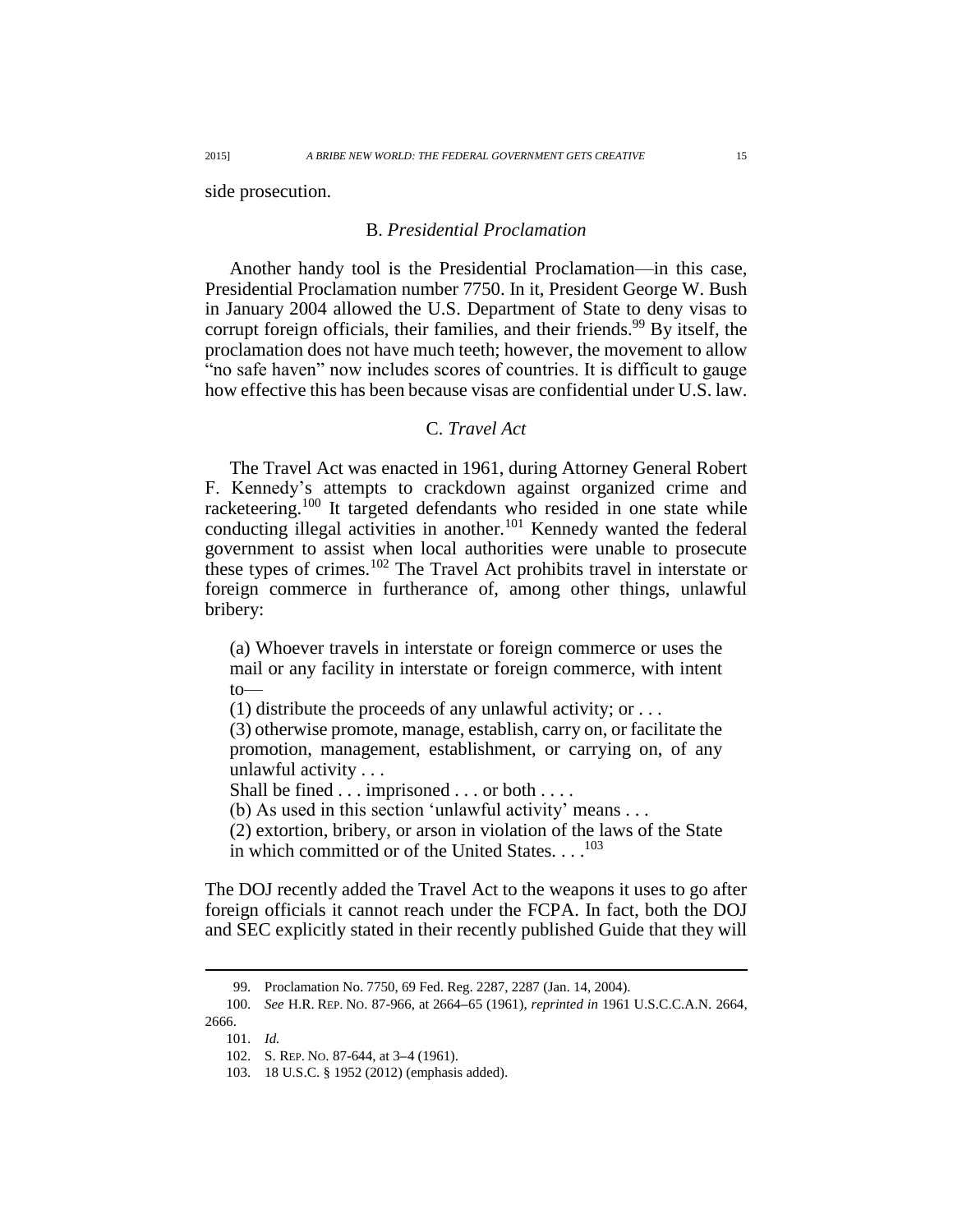side prosecution.

# B. *Presidential Proclamation*

Another handy tool is the Presidential Proclamation—in this case, Presidential Proclamation number 7750. In it, President George W. Bush in January 2004 allowed the U.S. Department of State to deny visas to corrupt foreign officials, their families, and their friends.<sup>99</sup> By itself, the proclamation does not have much teeth; however, the movement to allow "no safe haven" now includes scores of countries. It is difficult to gauge how effective this has been because visas are confidential under U.S. law.

# C. *Travel Act*

The Travel Act was enacted in 1961, during Attorney General Robert F. Kennedy's attempts to crackdown against organized crime and racketeering.<sup>100</sup> It targeted defendants who resided in one state while conducting illegal activities in another.<sup>101</sup> Kennedy wanted the federal government to assist when local authorities were unable to prosecute these types of crimes.<sup>102</sup> The Travel Act prohibits travel in interstate or foreign commerce in furtherance of, among other things, unlawful bribery:

(a) Whoever travels in interstate or foreign commerce or uses the mail or any facility in interstate or foreign commerce, with intent to—

(1) distribute the proceeds of any unlawful activity; or  $\dots$ 

(3) otherwise promote, manage, establish, carry on, or facilitate the promotion, management, establishment, or carrying on, of any unlawful activity . . .

Shall be fined . . . imprisoned . . . or both . . . .

(b) As used in this section 'unlawful activity' means . . .

(2) extortion, bribery, or arson in violation of the laws of the State in which committed or of the United States. . . . 103

The DOJ recently added the Travel Act to the weapons it uses to go after foreign officials it cannot reach under the FCPA. In fact, both the DOJ and SEC explicitly stated in their recently published Guide that they will

101. *Id.*

<sup>99.</sup> Proclamation No. 7750, 69 Fed. Reg. 2287, 2287 (Jan. 14, 2004).

<sup>100.</sup> *See* H.R. REP. NO. 87-966, at 2664**–**65 (1961), *reprinted in* 1961 U.S.C.C.A.N. 2664, 2666.

<sup>102.</sup> S. REP. NO. 87-644, at 3**–**4 (1961).

<sup>103.</sup> 18 U.S.C. § 1952 (2012) (emphasis added).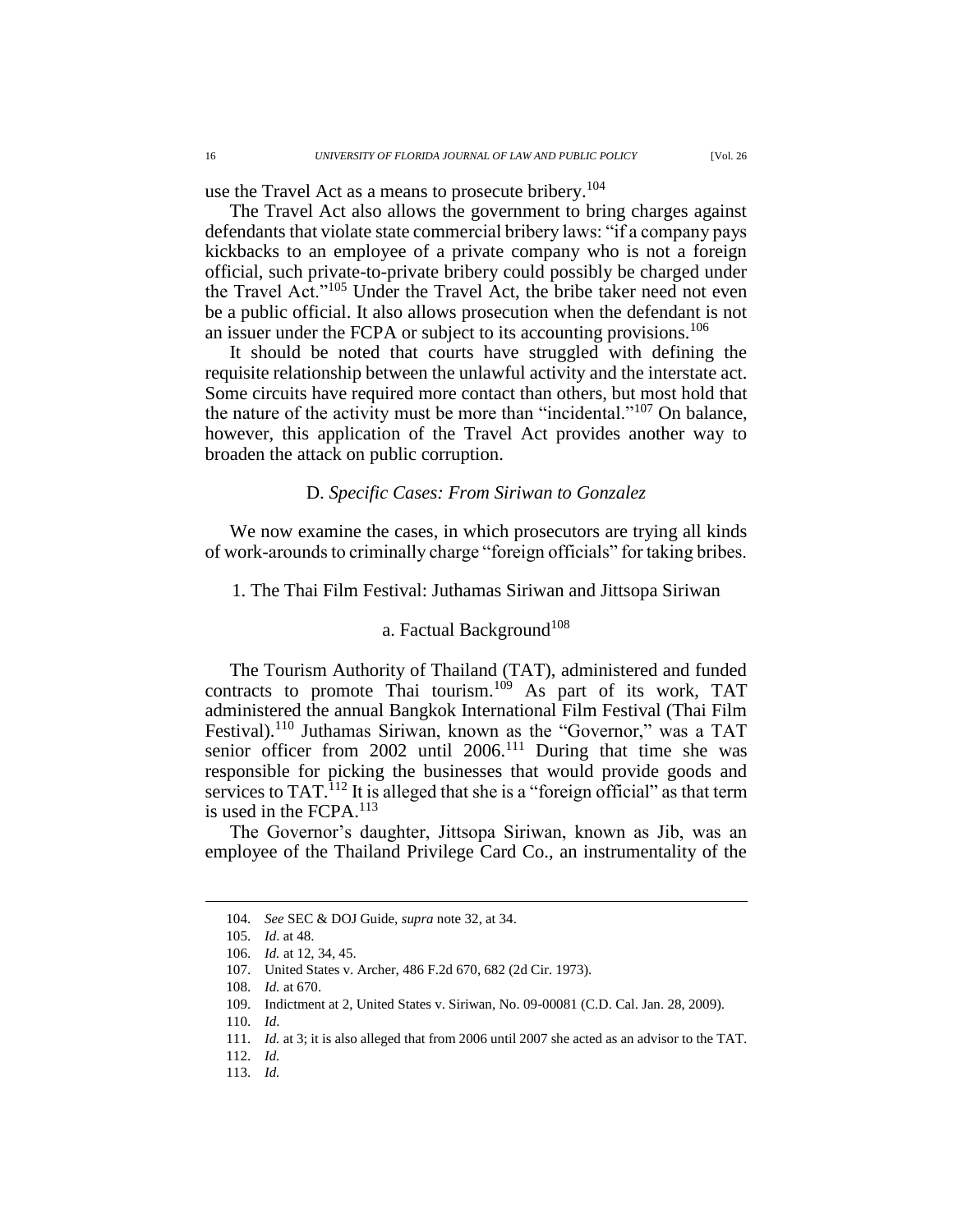use the Travel Act as a means to prosecute bribery.<sup>104</sup>

The Travel Act also allows the government to bring charges against defendants that violate state commercial bribery laws: "if a company pays kickbacks to an employee of a private company who is not a foreign official, such private-to-private bribery could possibly be charged under the Travel Act."<sup>105</sup> Under the Travel Act, the bribe taker need not even be a public official. It also allows prosecution when the defendant is not an issuer under the FCPA or subject to its accounting provisions.<sup>106</sup>

It should be noted that courts have struggled with defining the requisite relationship between the unlawful activity and the interstate act. Some circuits have required more contact than others, but most hold that the nature of the activity must be more than "incidental."<sup>107</sup> On balance, however, this application of the Travel Act provides another way to broaden the attack on public corruption.

### D. *Specific Cases: From Siriwan to Gonzalez*

We now examine the cases, in which prosecutors are trying all kinds of work-arounds to criminally charge "foreign officials" for taking bribes.

1. The Thai Film Festival: Juthamas Siriwan and Jittsopa Siriwan

## a. Factual Background<sup>108</sup>

The Tourism Authority of Thailand (TAT), administered and funded contracts to promote Thai tourism.<sup>109</sup> As part of its work, TAT administered the annual Bangkok International Film Festival (Thai Film Festival).<sup>110</sup> Juthamas Siriwan, known as the "Governor," was a TAT senior officer from 2002 until 2006.<sup>111</sup> During that time she was responsible for picking the businesses that would provide goods and services to TAT.<sup>112</sup> It is alleged that she is a "foreign official" as that term is used in the FCPA.<sup>113</sup>

The Governor's daughter, Jittsopa Siriwan, known as Jib, was an employee of the Thailand Privilege Card Co., an instrumentality of the

<sup>104.</sup> *See* SEC & DOJ Guide, *supra* note 32, at 34.

<sup>105.</sup> *Id*. at 48.

<sup>106.</sup> *Id.* at 12, 34, 45.

<sup>107.</sup> United States v. Archer, 486 F.2d 670, 682 (2d Cir. 1973).

<sup>108.</sup> *Id.* at 670.

<sup>109.</sup> Indictment at 2, United States v. Siriwan, No. 09-00081 (C.D. Cal. Jan. 28, 2009).

<sup>110.</sup> *Id*.

<sup>111.</sup> *Id.* at 3; it is also alleged that from 2006 until 2007 she acted as an advisor to the TAT.

<sup>112.</sup> *Id.*

<sup>113.</sup> *Id.*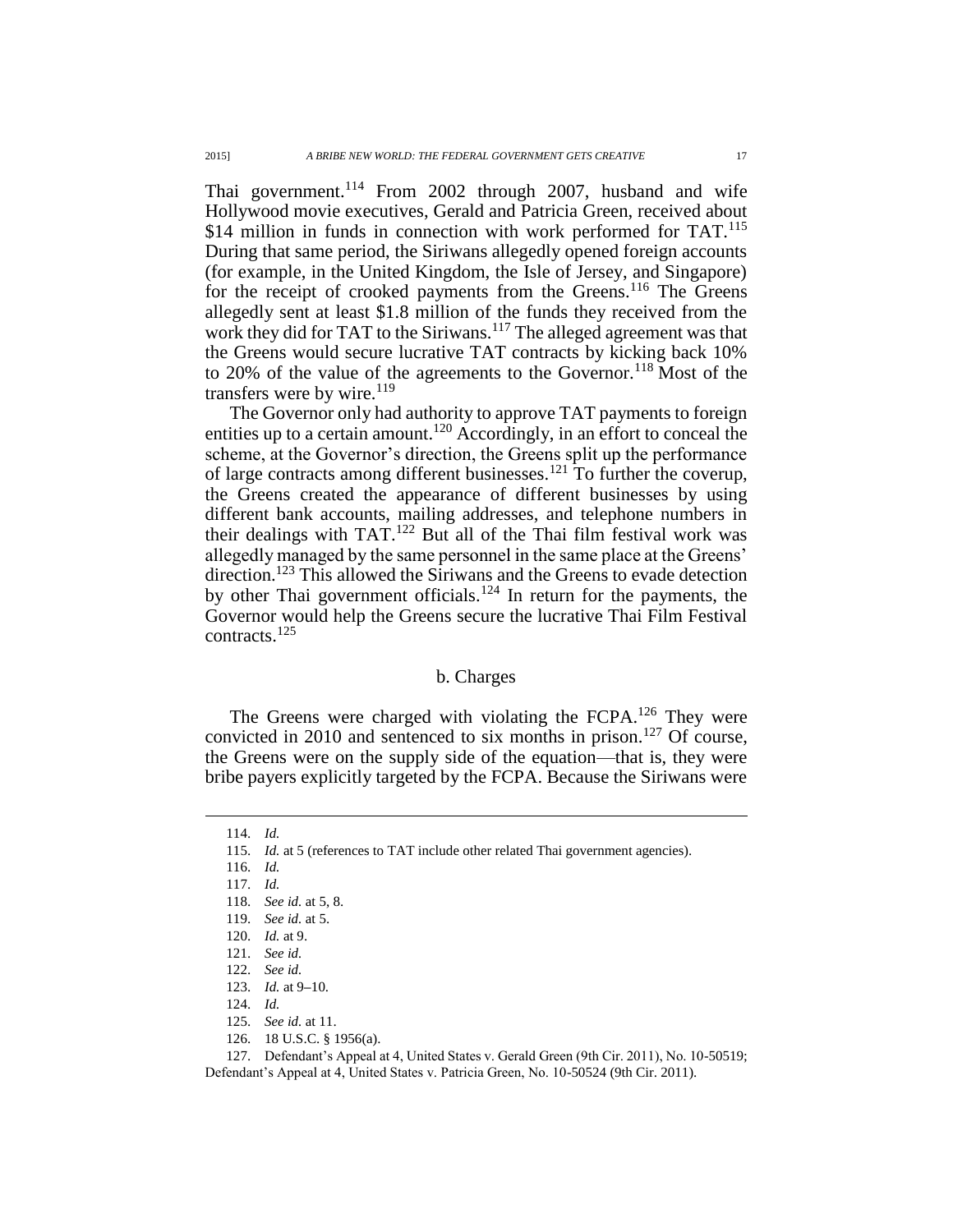Thai government.<sup>114</sup> From 2002 through 2007, husband and wife Hollywood movie executives, Gerald and Patricia Green, received about \$14 million in funds in connection with work performed for TAT.<sup>115</sup> During that same period, the Siriwans allegedly opened foreign accounts (for example, in the United Kingdom, the Isle of Jersey, and Singapore) for the receipt of crooked payments from the Greens.<sup>116</sup> The Greens allegedly sent at least \$1.8 million of the funds they received from the work they did for TAT to the Siriwans.<sup>117</sup> The alleged agreement was that the Greens would secure lucrative TAT contracts by kicking back 10% to 20% of the value of the agreements to the Governor.<sup>118</sup> Most of the transfers were by wire. $^{119}$ 

The Governor only had authority to approve TAT payments to foreign entities up to a certain amount.<sup>120</sup> Accordingly, in an effort to conceal the scheme, at the Governor's direction, the Greens split up the performance of large contracts among different businesses.<sup>121</sup> To further the coverup, the Greens created the appearance of different businesses by using different bank accounts, mailing addresses, and telephone numbers in their dealings with TAT.<sup>122</sup> But all of the Thai film festival work was allegedly managed by the same personnel in the same place at the Greens' direction.<sup>123</sup> This allowed the Siriwans and the Greens to evade detection by other Thai government officials.<sup>124</sup> In return for the payments, the Governor would help the Greens secure the lucrative Thai Film Festival contracts.<sup>125</sup>

### b. Charges

The Greens were charged with violating the FCPA.<sup>126</sup> They were convicted in 2010 and sentenced to six months in prison.<sup>127</sup> Of course, the Greens were on the supply side of the equation—that is, they were bribe payers explicitly targeted by the FCPA. Because the Siriwans were

<sup>114.</sup> *Id.*

<sup>115.</sup> *Id.* at 5 (references to TAT include other related Thai government agencies).

<sup>116.</sup> *Id.*

<sup>117.</sup> *Id.*

<sup>118.</sup> *See id.* at 5, 8.

<sup>119.</sup> *See id.* at 5.

<sup>120.</sup> *Id.* at 9.

<sup>121.</sup> *See id.*

<sup>122.</sup> *See id.*

<sup>123.</sup> *Id.* at 9**–**10.

<sup>124.</sup> *Id.*

<sup>125.</sup> *See id.* at 11.

<sup>126.</sup> 18 U.S.C. § 1956(a).

<sup>127.</sup> Defendant's Appeal at 4, United States v. Gerald Green (9th Cir. 2011), No. 10-50519; Defendant's Appeal at 4, United States v. Patricia Green, No. 10-50524 (9th Cir. 2011).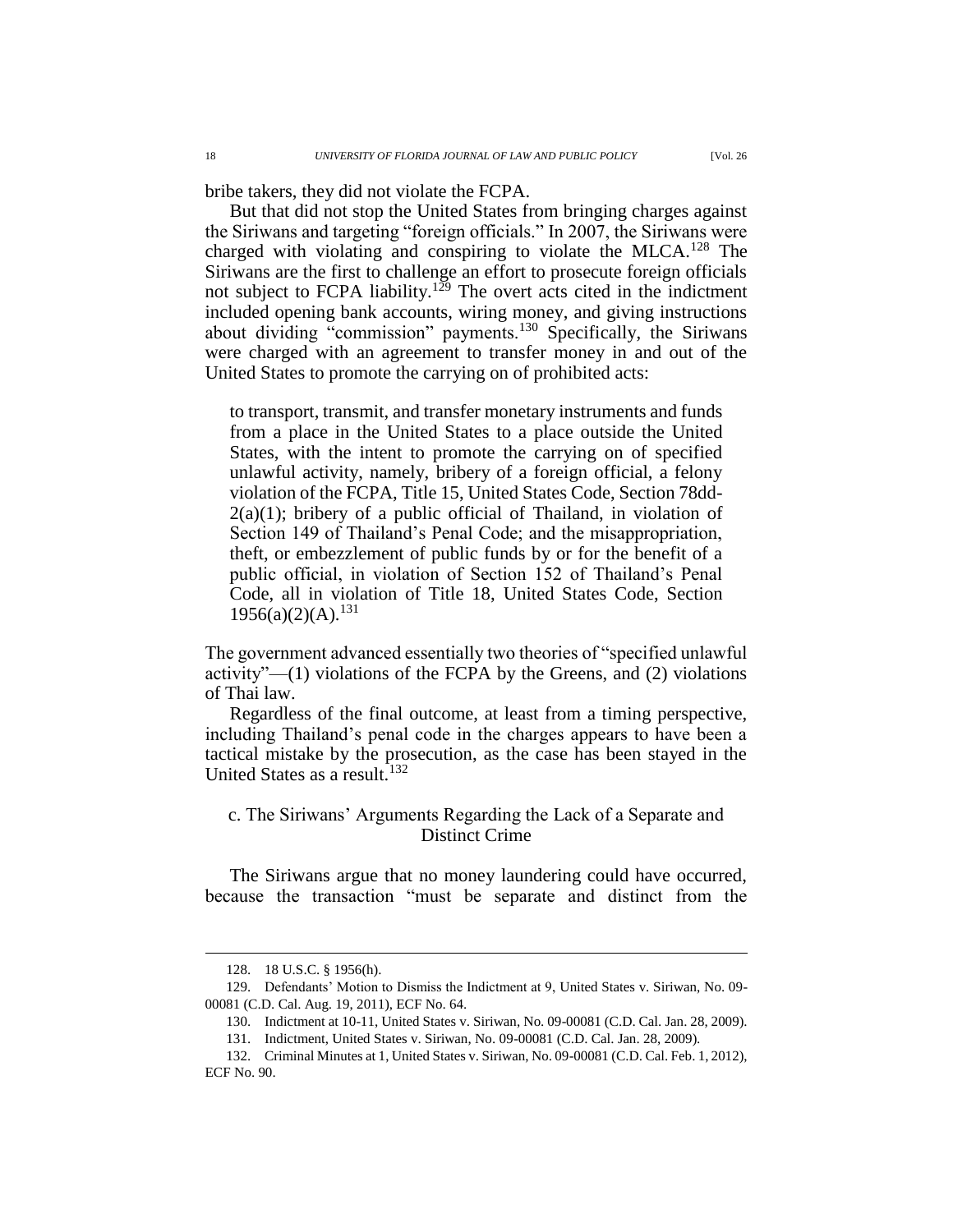bribe takers, they did not violate the FCPA.

But that did not stop the United States from bringing charges against the Siriwans and targeting "foreign officials." In 2007, the Siriwans were charged with violating and conspiring to violate the MLCA.<sup>128</sup> The Siriwans are the first to challenge an effort to prosecute foreign officials not subject to FCPA liability.<sup>129</sup> The overt acts cited in the indictment included opening bank accounts, wiring money, and giving instructions about dividing "commission" payments.<sup>130</sup> Specifically, the Siriwans were charged with an agreement to transfer money in and out of the United States to promote the carrying on of prohibited acts:

to transport, transmit, and transfer monetary instruments and funds from a place in the United States to a place outside the United States, with the intent to promote the carrying on of specified unlawful activity, namely, bribery of a foreign official, a felony violation of the FCPA, Title 15, United States Code, Section 78dd- $2(a)(1)$ ; bribery of a public official of Thailand, in violation of Section 149 of Thailand's Penal Code; and the misappropriation, theft, or embezzlement of public funds by or for the benefit of a public official, in violation of Section 152 of Thailand's Penal Code, all in violation of Title 18, United States Code, Section  $1956(a)(2)(A).<sup>131</sup>$ 

The government advanced essentially two theories of "specified unlawful activity" $-(1)$  violations of the FCPA by the Greens, and (2) violations of Thai law.

Regardless of the final outcome, at least from a timing perspective, including Thailand's penal code in the charges appears to have been a tactical mistake by the prosecution, as the case has been stayed in the United States as a result.<sup>132</sup>

# c. The Siriwans' Arguments Regarding the Lack of a Separate and Distinct Crime

The Siriwans argue that no money laundering could have occurred, because the transaction "must be separate and distinct from the

<sup>128.</sup> 18 U.S.C. § 1956(h).

<sup>129.</sup> Defendants' Motion to Dismiss the Indictment at 9, United States v. Siriwan, No. 09- 00081 (C.D. Cal. Aug. 19, 2011), ECF No. 64.

<sup>130.</sup> Indictment at 10-11, United States v. Siriwan, No. 09-00081 (C.D. Cal. Jan. 28, 2009).

<sup>131.</sup> Indictment, United States v. Siriwan, No. 09-00081 (C.D. Cal. Jan. 28, 2009).

<sup>132.</sup> Criminal Minutes at 1, United States v. Siriwan, No. 09-00081 (C.D. Cal. Feb. 1, 2012), ECF No. 90.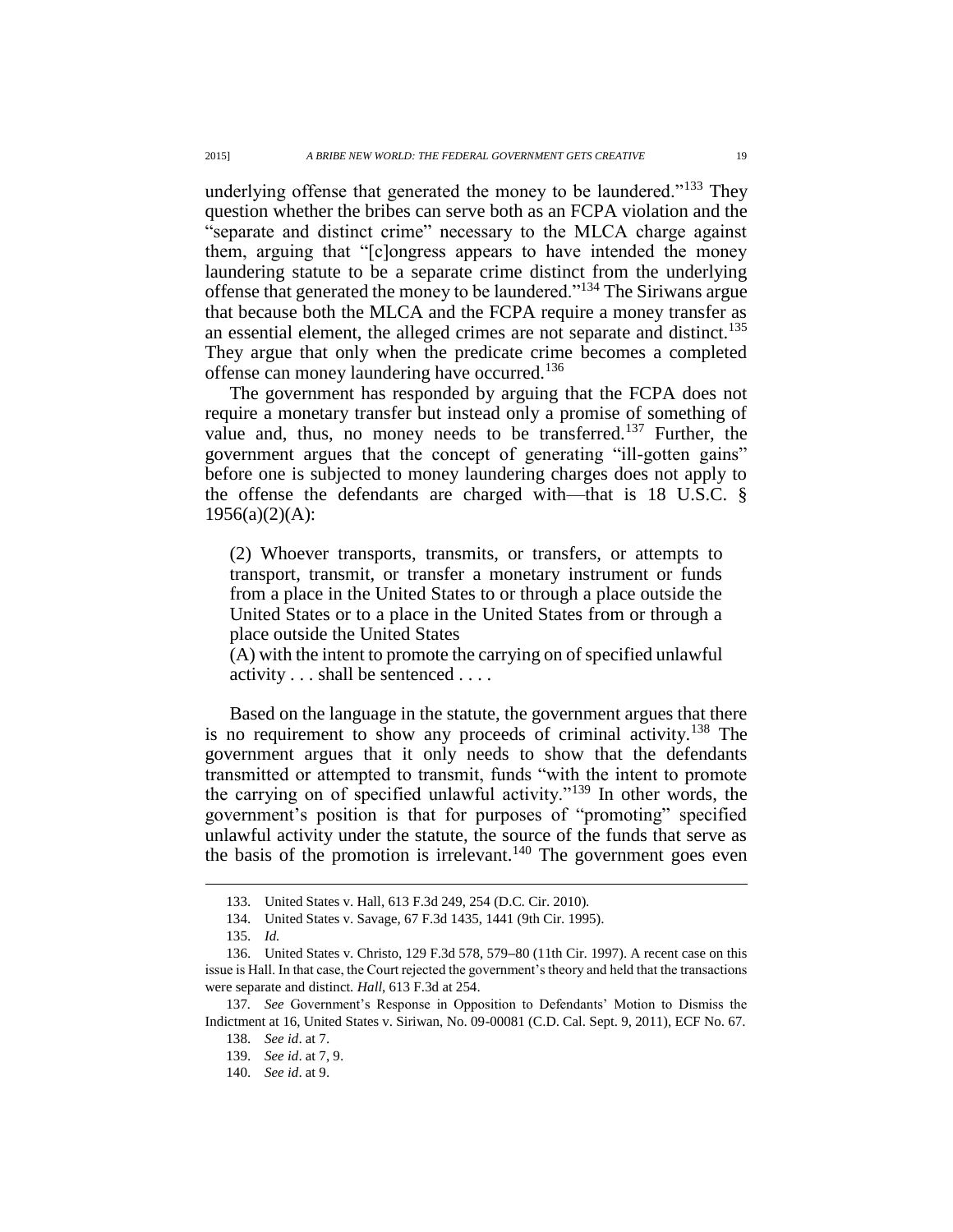underlying offense that generated the money to be laundered."<sup>133</sup> They question whether the bribes can serve both as an FCPA violation and the "separate and distinct crime" necessary to the MLCA charge against them, arguing that "[c]ongress appears to have intended the money laundering statute to be a separate crime distinct from the underlying offense that generated the money to be laundered."<sup>134</sup> The Siriwans argue that because both the MLCA and the FCPA require a money transfer as an essential element, the alleged crimes are not separate and distinct.<sup>135</sup> They argue that only when the predicate crime becomes a completed offense can money laundering have occurred.<sup>136</sup>

The government has responded by arguing that the FCPA does not require a monetary transfer but instead only a promise of something of value and, thus, no money needs to be transferred.<sup>137</sup> Further, the government argues that the concept of generating "ill-gotten gains" before one is subjected to money laundering charges does not apply to the offense the defendants are charged with—that is 18 U.S.C. §  $1956(a)(2)(A)$ :

(2) Whoever transports, transmits, or transfers, or attempts to transport, transmit, or transfer a monetary instrument or funds from a place in the United States to or through a place outside the United States or to a place in the United States from or through a place outside the United States

(A) with the intent to promote the carrying on of specified unlawful activity . . . shall be sentenced . . . .

Based on the language in the statute, the government argues that there is no requirement to show any proceeds of criminal activity.<sup>138</sup> The government argues that it only needs to show that the defendants transmitted or attempted to transmit, funds "with the intent to promote the carrying on of specified unlawful activity."<sup>139</sup> In other words, the government's position is that for purposes of "promoting" specified unlawful activity under the statute, the source of the funds that serve as the basis of the promotion is irrelevant.<sup>140</sup> The government goes even

<sup>133.</sup> United States v. Hall, 613 F.3d 249, 254 (D.C. Cir. 2010).

<sup>134.</sup> United States v. Savage, 67 F.3d 1435, 1441 (9th Cir. 1995).

<sup>135.</sup> *Id.*

<sup>136.</sup> United States v. Christo, 129 F.3d 578, 579**–**80 (11th Cir. 1997). A recent case on this issue is Hall. In that case, the Court rejected the government's theory and held that the transactions were separate and distinct. *Hall*, 613 F.3d at 254.

<sup>137</sup>*. See* Government's Response in Opposition to Defendants' Motion to Dismiss the Indictment at 16, United States v. Siriwan, No. 09-00081 (C.D. Cal. Sept. 9, 2011), ECF No. 67. 138. *See id*. at 7.

<sup>139.</sup> *See id*. at 7, 9.

<sup>140.</sup> *See id*. at 9.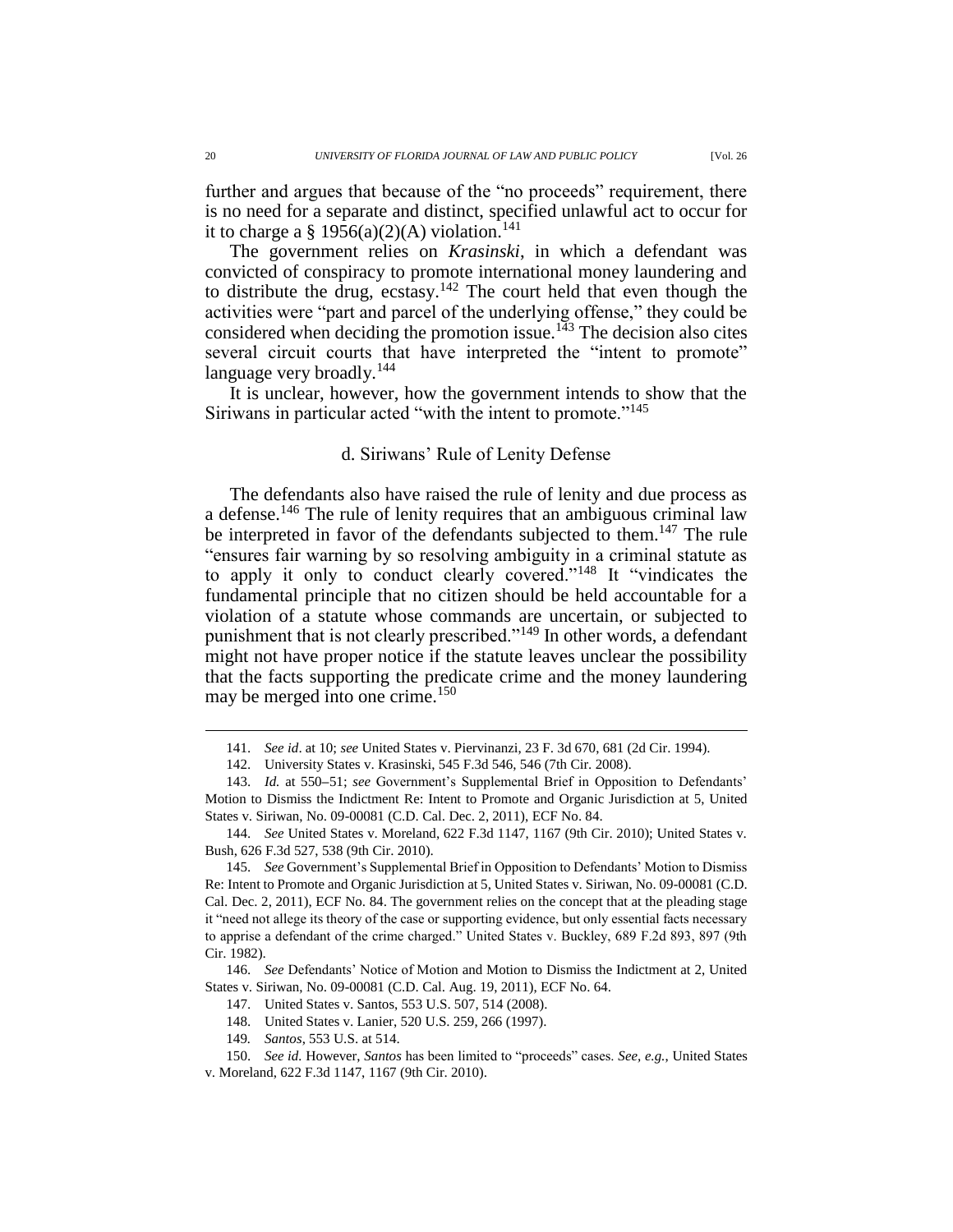further and argues that because of the "no proceeds" requirement, there is no need for a separate and distinct, specified unlawful act to occur for it to charge a § 1956(a)(2)(A) violation.<sup>141</sup>

The government relies on *Krasinski*, in which a defendant was convicted of conspiracy to promote international money laundering and to distribute the drug, ecstasy.<sup>142</sup> The court held that even though the activities were "part and parcel of the underlying offense," they could be considered when deciding the promotion issue.<sup>143</sup> The decision also cites several circuit courts that have interpreted the "intent to promote" language very broadly.<sup>144</sup>

It is unclear, however, how the government intends to show that the Siriwans in particular acted "with the intent to promote."<sup>145</sup>

# d. Siriwans' Rule of Lenity Defense

The defendants also have raised the rule of lenity and due process as a defense.<sup>146</sup> The rule of lenity requires that an ambiguous criminal law be interpreted in favor of the defendants subjected to them.<sup>147</sup> The rule "ensures fair warning by so resolving ambiguity in a criminal statute as to apply it only to conduct clearly covered."<sup>148</sup> It "vindicates the fundamental principle that no citizen should be held accountable for a violation of a statute whose commands are uncertain, or subjected to punishment that is not clearly prescribed."<sup>149</sup> In other words, a defendant might not have proper notice if the statute leaves unclear the possibility that the facts supporting the predicate crime and the money laundering may be merged into one crime.<sup>150</sup>

146. *See* Defendants' Notice of Motion and Motion to Dismiss the Indictment at 2, United States v. Siriwan, No. 09-00081 (C.D. Cal. Aug. 19, 2011), ECF No. 64.

- 147. United States v. Santos, 553 U.S. 507, 514 (2008).
- 148. United States v. Lanier, 520 U.S. 259, 266 (1997).
- 149*. Santos*, 553 U.S. at 514.
- 150. *See id.* However, *Santos* has been limited to "proceeds" cases. *See, e.g.*, United States v. Moreland, 622 F.3d 1147, 1167 (9th Cir. 2010).

<sup>141.</sup> *See id*. at 10; *see* United States v. Piervinanzi, 23 F. 3d 670, 681 (2d Cir. 1994).

<sup>142.</sup> University States v. Krasinski, 545 F.3d 546, 546 (7th Cir. 2008).

<sup>143.</sup> *Id.* at 550**–**51; *see* Government's Supplemental Brief in Opposition to Defendants' Motion to Dismiss the Indictment Re: Intent to Promote and Organic Jurisdiction at 5, United States v. Siriwan, No. 09-00081 (C.D. Cal. Dec. 2, 2011), ECF No. 84.

<sup>144.</sup> *See* United States v. Moreland, 622 F.3d 1147, 1167 (9th Cir. 2010); United States v. Bush, 626 F.3d 527, 538 (9th Cir. 2010).

<sup>145.</sup> *See* Government's Supplemental Brief in Opposition to Defendants' Motion to Dismiss Re: Intent to Promote and Organic Jurisdiction at 5, United States v. Siriwan, No. 09-00081 (C.D. Cal. Dec. 2, 2011), ECF No. 84. The government relies on the concept that at the pleading stage it "need not allege its theory of the case or supporting evidence, but only essential facts necessary to apprise a defendant of the crime charged." United States v. Buckley, 689 F.2d 893, 897 (9th Cir. 1982).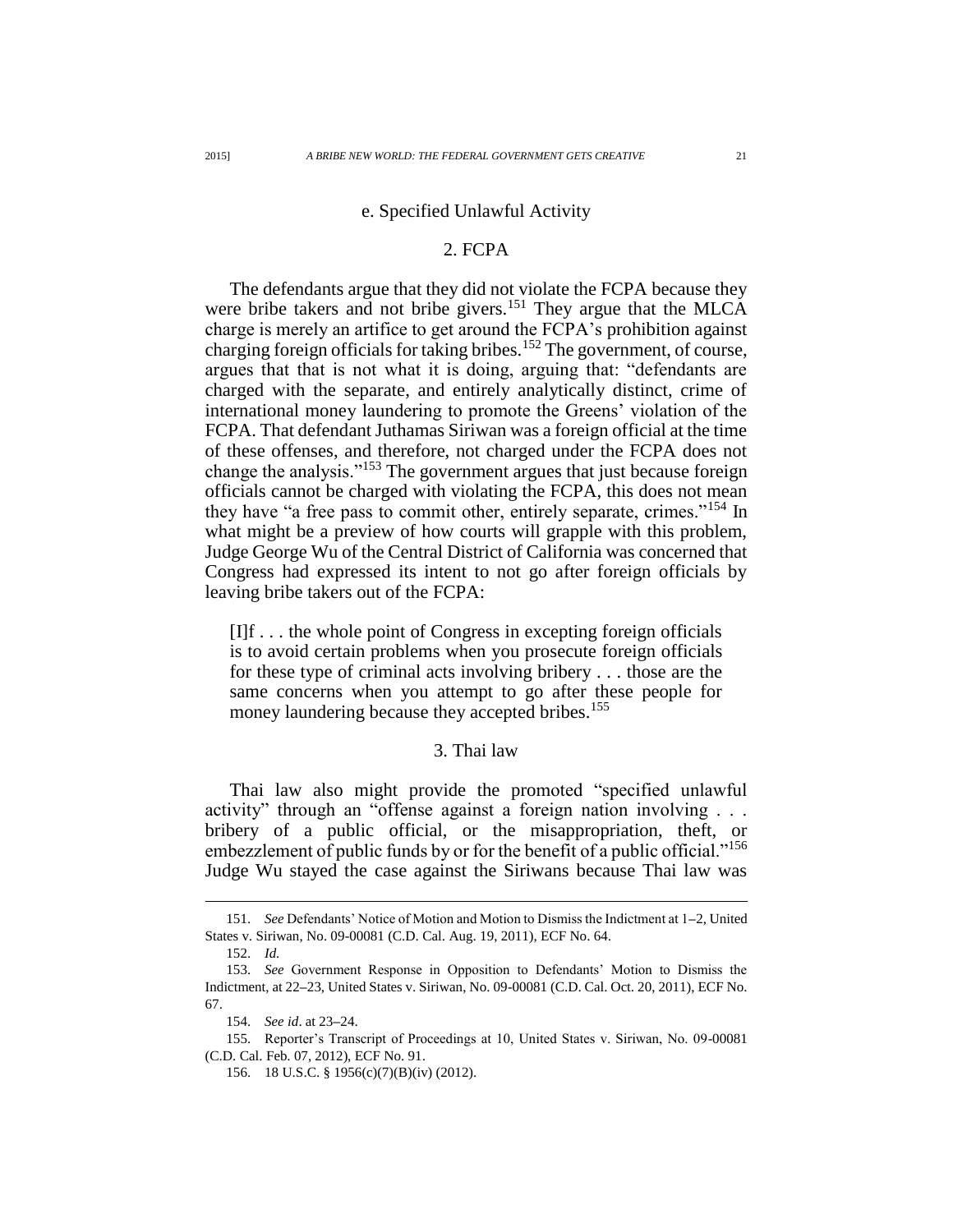### e. Specified Unlawful Activity

### 2. FCPA

The defendants argue that they did not violate the FCPA because they were bribe takers and not bribe givers.<sup>151</sup> They argue that the MLCA charge is merely an artifice to get around the FCPA's prohibition against charging foreign officials for taking bribes.<sup>152</sup> The government, of course, argues that that is not what it is doing, arguing that: "defendants are charged with the separate, and entirely analytically distinct, crime of international money laundering to promote the Greens' violation of the FCPA. That defendant Juthamas Siriwan was a foreign official at the time of these offenses, and therefore, not charged under the FCPA does not change the analysis."<sup>153</sup> The government argues that just because foreign officials cannot be charged with violating the FCPA, this does not mean they have "a free pass to commit other, entirely separate, crimes."<sup>154</sup> In what might be a preview of how courts will grapple with this problem, Judge George Wu of the Central District of California was concerned that Congress had expressed its intent to not go after foreign officials by leaving bribe takers out of the FCPA:

[I]f . . . the whole point of Congress in excepting foreign officials is to avoid certain problems when you prosecute foreign officials for these type of criminal acts involving bribery . . . those are the same concerns when you attempt to go after these people for money laundering because they accepted bribes.<sup>155</sup>

## 3. Thai law

Thai law also might provide the promoted "specified unlawful activity" through an "offense against a foreign nation involving . . . bribery of a public official, or the misappropriation, theft, or embezzlement of public funds by or for the benefit of a public official."<sup>156</sup> Judge Wu stayed the case against the Siriwans because Thai law was

<sup>151.</sup> *See* Defendants' Notice of Motion and Motion to Dismiss the Indictment at 1**–**2, United States v. Siriwan, No. 09-00081 (C.D. Cal. Aug. 19, 2011), ECF No. 64.

<sup>152.</sup> *Id.*

<sup>153.</sup> *See* Government Response in Opposition to Defendants' Motion to Dismiss the Indictment, at 22**–**23, United States v. Siriwan, No. 09-00081 (C.D. Cal. Oct. 20, 2011), ECF No. 67.

<sup>154.</sup> *See id*. at 23**–**24.

<sup>155.</sup> Reporter's Transcript of Proceedings at 10, United States v. Siriwan, No. 09-00081 (C.D. Cal. Feb. 07, 2012), ECF No. 91.

<sup>156.</sup> 18 U.S.C. § 1956(c)(7)(B)(iv) (2012).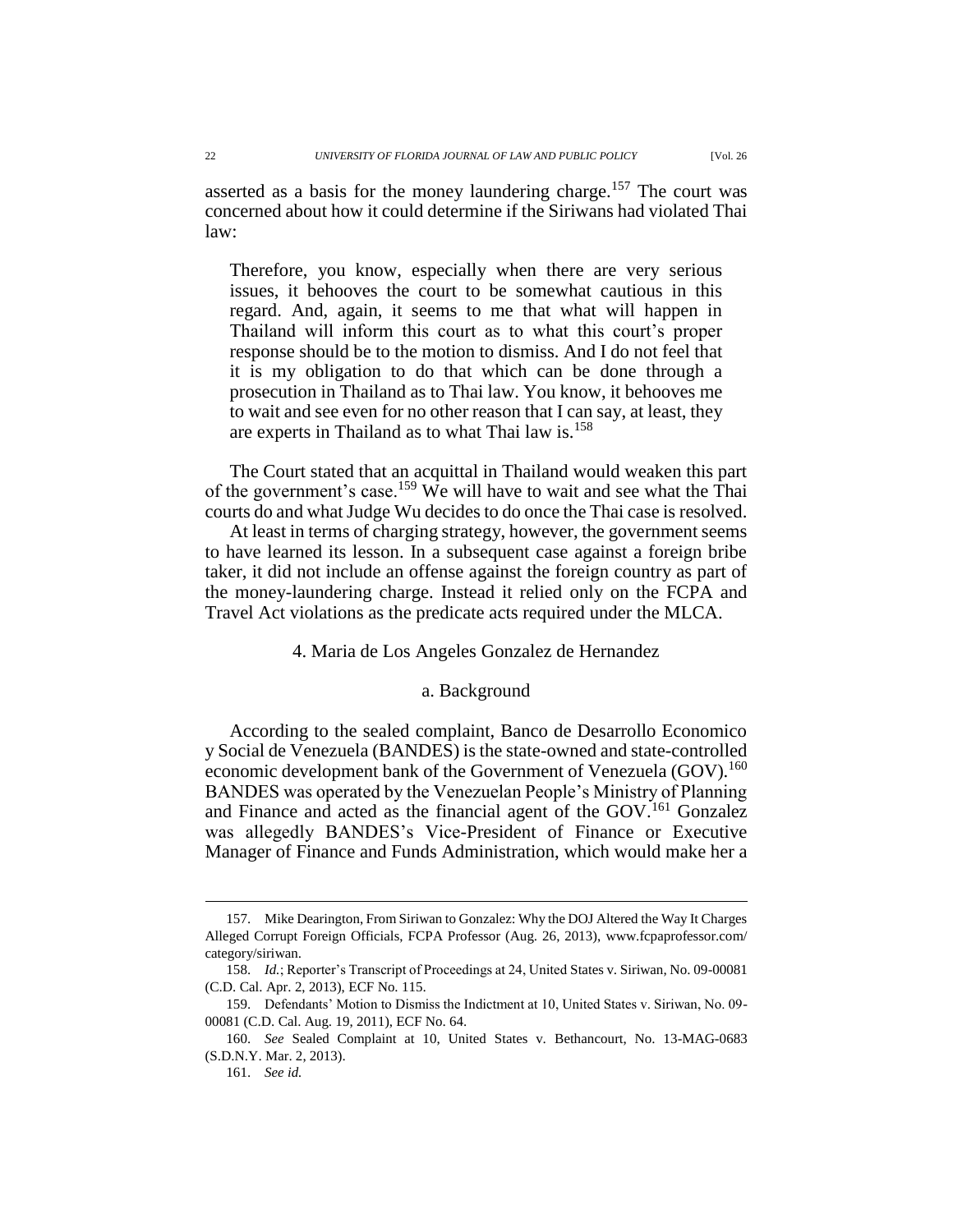asserted as a basis for the money laundering charge.<sup>157</sup> The court was concerned about how it could determine if the Siriwans had violated Thai law:

Therefore, you know, especially when there are very serious issues, it behooves the court to be somewhat cautious in this regard. And, again, it seems to me that what will happen in Thailand will inform this court as to what this court's proper response should be to the motion to dismiss. And I do not feel that it is my obligation to do that which can be done through a prosecution in Thailand as to Thai law. You know, it behooves me to wait and see even for no other reason that I can say, at least, they are experts in Thailand as to what Thai law is.<sup>158</sup>

The Court stated that an acquittal in Thailand would weaken this part of the government's case.<sup>159</sup> We will have to wait and see what the Thai courts do and what Judge Wu decides to do once the Thai case is resolved.

At least in terms of charging strategy, however, the government seems to have learned its lesson. In a subsequent case against a foreign bribe taker, it did not include an offense against the foreign country as part of the money-laundering charge. Instead it relied only on the FCPA and Travel Act violations as the predicate acts required under the MLCA.

### 4. Maria de Los Angeles Gonzalez de Hernandez

### a. Background

According to the sealed complaint, Banco de Desarrollo Economico y Social de Venezuela (BANDES) is the state-owned and state-controlled economic development bank of the Government of Venezuela (GOV).<sup>160</sup> BANDES was operated by the Venezuelan People's Ministry of Planning and Finance and acted as the financial agent of the GOV.<sup>161</sup> Gonzalez was allegedly BANDES's Vice-President of Finance or Executive Manager of Finance and Funds Administration, which would make her a

<sup>157.</sup> Mike Dearington, From Siriwan to Gonzalez: Why the DOJ Altered the Way It Charges Alleged Corrupt Foreign Officials, FCPA Professor (Aug. 26, 2013), www.fcpaprofessor.com/ category/siriwan.

<sup>158.</sup> *Id.*; Reporter's Transcript of Proceedings at 24, United States v. Siriwan, No. 09-00081 (C.D. Cal. Apr. 2, 2013), ECF No. 115.

<sup>159.</sup> Defendants' Motion to Dismiss the Indictment at 10, United States v. Siriwan, No. 09- 00081 (C.D. Cal. Aug. 19, 2011), ECF No. 64.

<sup>160.</sup> *See* Sealed Complaint at 10, United States v. Bethancourt, No. 13-MAG-0683 (S.D.N.Y. Mar. 2, 2013).

<sup>161.</sup> *See id.*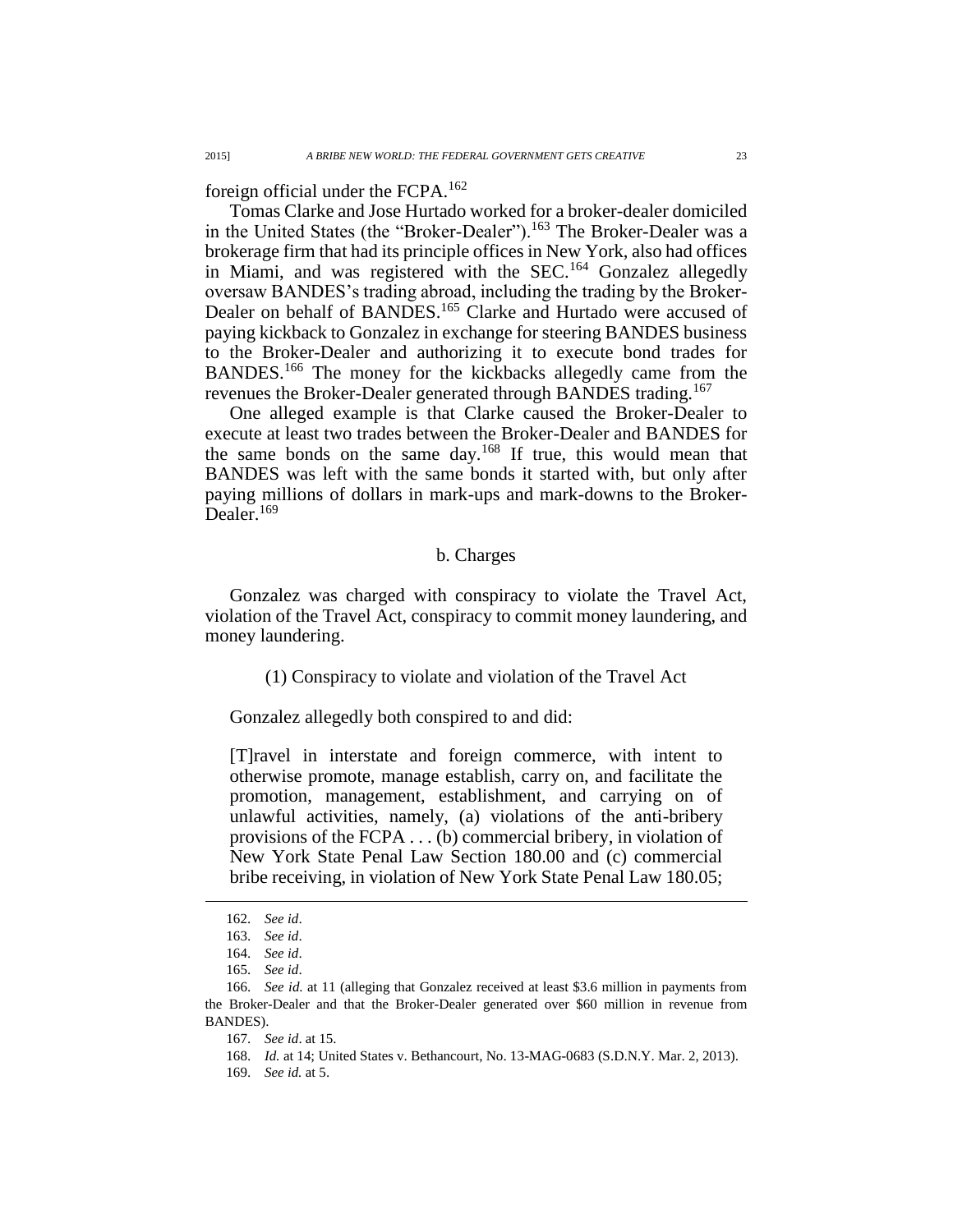foreign official under the FCPA.<sup>162</sup>

Tomas Clarke and Jose Hurtado worked for a broker-dealer domiciled in the United States (the "Broker-Dealer").<sup>163</sup> The Broker-Dealer was a brokerage firm that had its principle offices in New York, also had offices in Miami, and was registered with the SEC.<sup>164</sup> Gonzalez allegedly oversaw BANDES's trading abroad, including the trading by the Broker-Dealer on behalf of BANDES.<sup>165</sup> Clarke and Hurtado were accused of paying kickback to Gonzalez in exchange for steering BANDES business to the Broker-Dealer and authorizing it to execute bond trades for BANDES.<sup>166</sup> The money for the kickbacks allegedly came from the revenues the Broker-Dealer generated through BANDES trading.<sup>167</sup>

One alleged example is that Clarke caused the Broker-Dealer to execute at least two trades between the Broker-Dealer and BANDES for the same bonds on the same day.<sup>168</sup> If true, this would mean that BANDES was left with the same bonds it started with, but only after paying millions of dollars in mark-ups and mark-downs to the Broker-Dealer.<sup>169</sup>

# b. Charges

Gonzalez was charged with conspiracy to violate the Travel Act, violation of the Travel Act, conspiracy to commit money laundering, and money laundering.

(1) Conspiracy to violate and violation of the Travel Act

Gonzalez allegedly both conspired to and did:

[T]ravel in interstate and foreign commerce, with intent to otherwise promote, manage establish, carry on, and facilitate the promotion, management, establishment, and carrying on of unlawful activities, namely, (a) violations of the anti-bribery provisions of the FCPA . . . (b) commercial bribery, in violation of New York State Penal Law Section 180.00 and (c) commercial bribe receiving, in violation of New York State Penal Law 180.05;

<sup>162.</sup> *See id*.

<sup>163.</sup> *See id*.

<sup>164.</sup> *See id*.

<sup>165.</sup> *See id*.

<sup>166.</sup> *See id*. at 11 (alleging that Gonzalez received at least \$3.6 million in payments from the Broker-Dealer and that the Broker-Dealer generated over \$60 million in revenue from BANDES).

<sup>167.</sup> *See id*. at 15.

<sup>168.</sup> *Id.* at 14; United States v. Bethancourt, No. 13-MAG-0683 (S.D.N.Y. Mar. 2, 2013).

<sup>169.</sup> *See id.* at 5.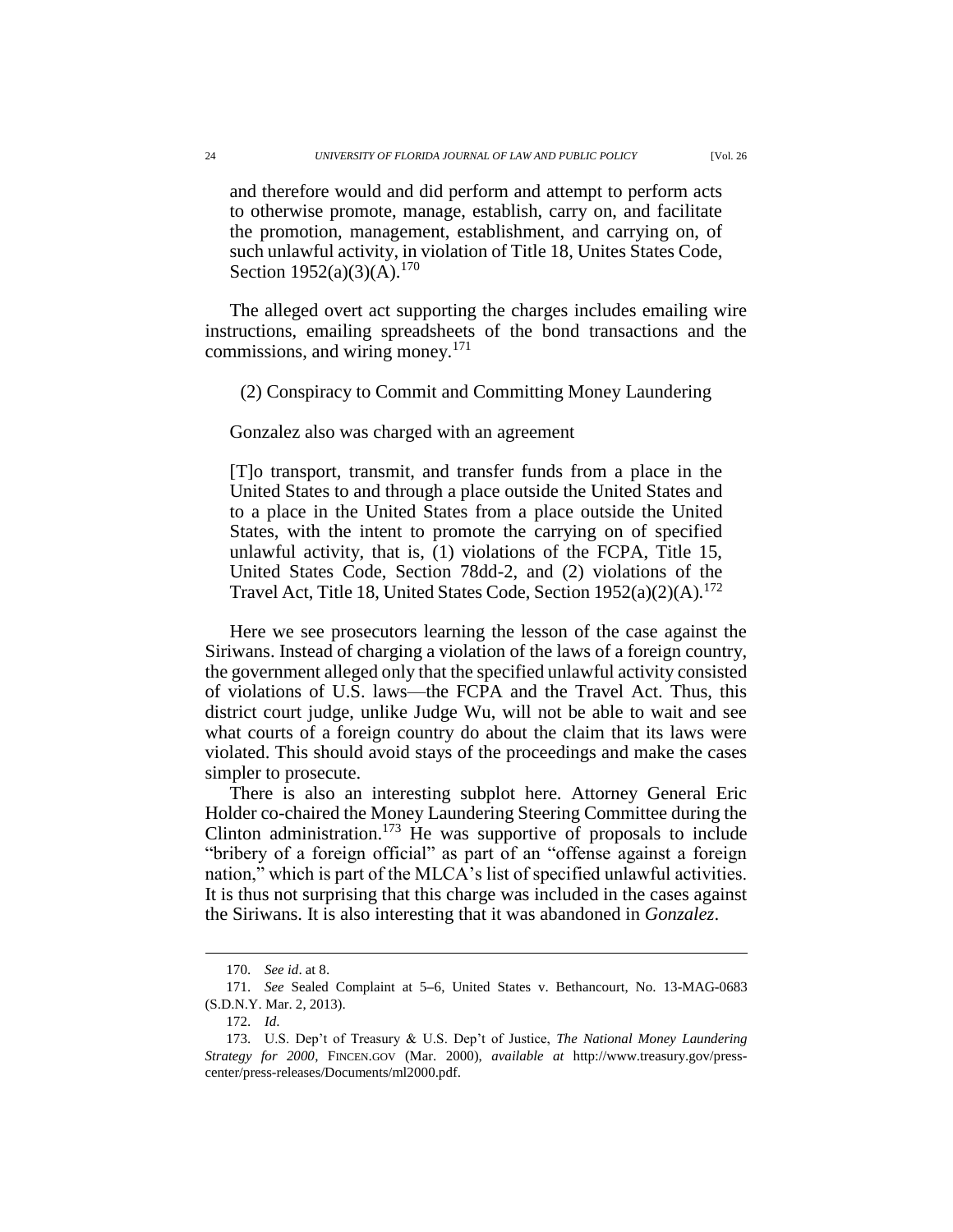and therefore would and did perform and attempt to perform acts to otherwise promote, manage, establish, carry on, and facilitate the promotion, management, establishment, and carrying on, of such unlawful activity, in violation of Title 18, Unites States Code, Section  $1952(a)(3)(A).^{170}$ 

The alleged overt act supporting the charges includes emailing wire instructions, emailing spreadsheets of the bond transactions and the commissions, and wiring money. $171$ 

(2) Conspiracy to Commit and Committing Money Laundering

### Gonzalez also was charged with an agreement

[T]o transport, transmit, and transfer funds from a place in the United States to and through a place outside the United States and to a place in the United States from a place outside the United States, with the intent to promote the carrying on of specified unlawful activity, that is, (1) violations of the FCPA, Title 15, United States Code, Section 78dd-2, and (2) violations of the Travel Act, Title 18, United States Code, Section 1952(a)(2)(A).<sup>172</sup>

Here we see prosecutors learning the lesson of the case against the Siriwans. Instead of charging a violation of the laws of a foreign country, the government alleged only that the specified unlawful activity consisted of violations of U.S. laws—the FCPA and the Travel Act. Thus, this district court judge, unlike Judge Wu, will not be able to wait and see what courts of a foreign country do about the claim that its laws were violated. This should avoid stays of the proceedings and make the cases simpler to prosecute.

There is also an interesting subplot here. Attorney General Eric Holder co-chaired the Money Laundering Steering Committee during the Clinton administration.<sup>173</sup> He was supportive of proposals to include "bribery of a foreign official" as part of an "offense against a foreign nation," which is part of the MLCA's list of specified unlawful activities. It is thus not surprising that this charge was included in the cases against the Siriwans. It is also interesting that it was abandoned in *Gonzalez*.

<sup>170.</sup> *See id*. at 8.

<sup>171.</sup> *See* Sealed Complaint at 5**–**6, United States v. Bethancourt, No. 13-MAG-0683 (S.D.N.Y. Mar. 2, 2013).

<sup>172.</sup> *Id*.

<sup>173.</sup> U.S. Dep't of Treasury & U.S. Dep't of Justice, *The National Money Laundering Strategy for 2000*, FINCEN.GOV (Mar. 2000), *available at* http://www.treasury.gov/presscenter/press-releases/Documents/ml2000.pdf.